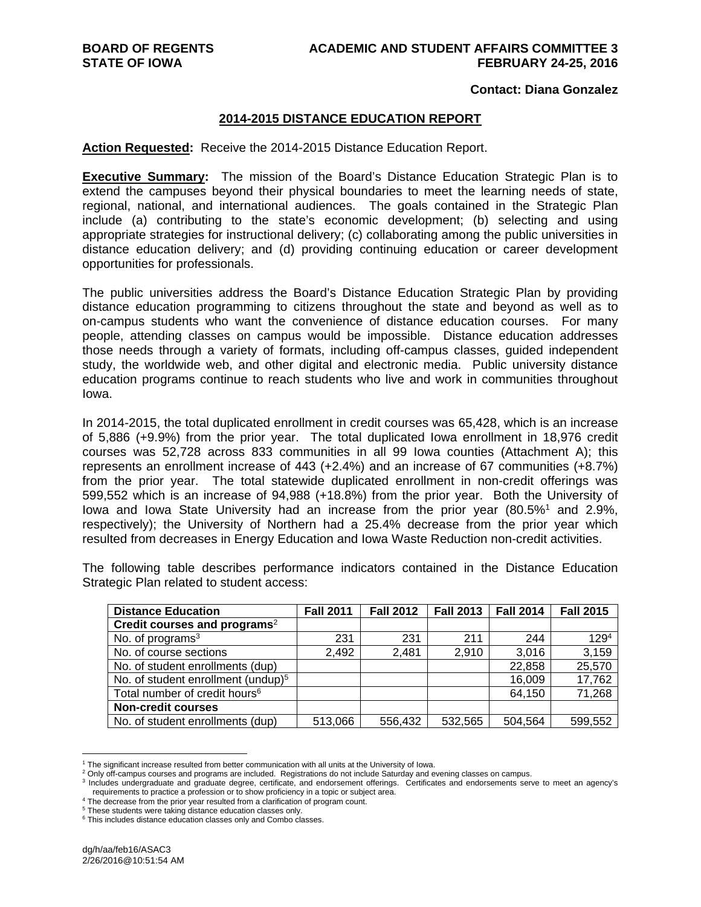#### **Contact: Diana Gonzalez**

#### **2014-2015 DISTANCE EDUCATION REPORT**

#### **Action Requested:** Receive the 2014-2015 Distance Education Report.

**Executive Summary:** The mission of the Board's Distance Education Strategic Plan is to extend the campuses beyond their physical boundaries to meet the learning needs of state, regional, national, and international audiences. The goals contained in the Strategic Plan include (a) contributing to the state's economic development; (b) selecting and using appropriate strategies for instructional delivery; (c) collaborating among the public universities in distance education delivery; and (d) providing continuing education or career development opportunities for professionals.

The public universities address the Board's Distance Education Strategic Plan by providing distance education programming to citizens throughout the state and beyond as well as to on-campus students who want the convenience of distance education courses. For many people, attending classes on campus would be impossible. Distance education addresses those needs through a variety of formats, including off-campus classes, guided independent study, the worldwide web, and other digital and electronic media. Public university distance education programs continue to reach students who live and work in communities throughout Iowa.

In 2014-2015, the total duplicated enrollment in credit courses was 65,428, which is an increase of 5,886 (+9.9%) from the prior year. The total duplicated Iowa enrollment in 18,976 credit courses was 52,728 across 833 communities in all 99 Iowa counties (Attachment A); this represents an enrollment increase of 443 (+2.4%) and an increase of 67 communities (+8.7%) from the prior year. The total statewide duplicated enrollment in non-credit offerings was 599,552 which is an increase of 94,988 (+18.8%) from the prior year. Both the University of lowa and lowa State University had an increase from the prior year (80.5%<sup>1</sup> and 2.9%, respectively); the University of Northern had a 25.4% decrease from the prior year which resulted from decreases in Energy Education and Iowa Waste Reduction non-credit activities.

The following table describes performance indicators contained in the Distance Education Strategic Plan related to student access:

| <b>Distance Education</b>                      | <b>Fall 2011</b> | <b>Fall 2012</b> | <b>Fall 2013</b> | <b>Fall 2014</b> | <b>Fall 2015</b> |
|------------------------------------------------|------------------|------------------|------------------|------------------|------------------|
| Credit courses and programs <sup>2</sup>       |                  |                  |                  |                  |                  |
| No. of programs <sup>3</sup>                   | 231              | 231              | 211              | 244              | 129 <sup>4</sup> |
| No. of course sections                         | 2,492            | 2,481            | 2,910            | 3,016            | 3,159            |
| No. of student enrollments (dup)               |                  |                  |                  | 22,858           | 25,570           |
| No. of student enrollment (undup) <sup>5</sup> |                  |                  |                  | 16,009           | 17,762           |
| Total number of credit hours <sup>6</sup>      |                  |                  |                  | 64,150           | 71,268           |
| <b>Non-credit courses</b>                      |                  |                  |                  |                  |                  |
| No. of student enrollments (dup)               | 513,066          | 556,432          | 532,565          | 504,564          | 599,552          |

<sup>&</sup>lt;sup>1</sup> The significant increase resulted from better communication with all units at the University of Iowa.<br><sup>2</sup> Only off-campus courses and programs are included... Registrations do not include Saturday and ev

 $\overline{a}$ 

<sup>&</sup>lt;sup>2</sup> Only off-campus courses and programs are included. Registrations do not include Saturday and evening classes on campus.<br><sup>3</sup> Includes undergraduate and graduate degree, certificate, and endorsement offerings. Certificat

<sup>&</sup>lt;sup>4</sup> The decrease from the prior year resulted from a clarification of program count.

<sup>5</sup> These students were taking distance education classes only.

<sup>&</sup>lt;sup>6</sup> This includes distance education classes only and Combo classes.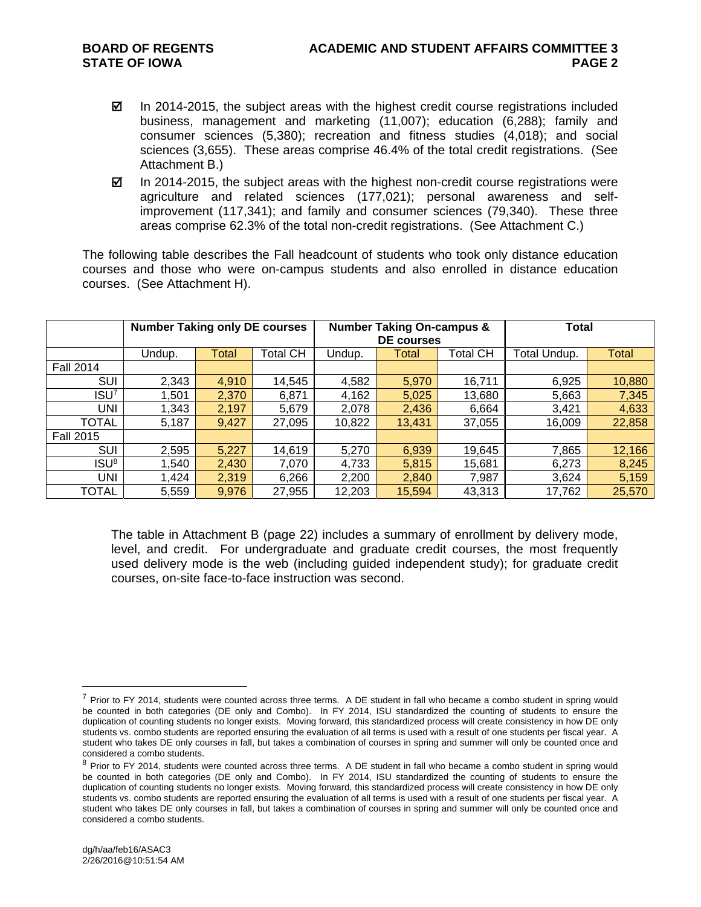- $\boxtimes$  In 2014-2015, the subject areas with the highest credit course registrations included business, management and marketing (11,007); education (6,288); family and consumer sciences (5,380); recreation and fitness studies (4,018); and social sciences (3,655). These areas comprise 46.4% of the total credit registrations. (See Attachment B.)
- $\boxtimes$  In 2014-2015, the subject areas with the highest non-credit course registrations were agriculture and related sciences (177,021); personal awareness and selfimprovement (117,341); and family and consumer sciences (79,340). These three areas comprise 62.3% of the total non-credit registrations. (See Attachment C.)

The following table describes the Fall headcount of students who took only distance education courses and those who were on-campus students and also enrolled in distance education courses. (See Attachment H).

|                  | <b>Number Taking only DE courses</b> |       |          |        | <b>Number Taking On-campus &amp;</b><br>DE courses | <b>Total</b> |        |        |
|------------------|--------------------------------------|-------|----------|--------|----------------------------------------------------|--------------|--------|--------|
|                  | Undup.                               | Total | Total CH | Undup. | Total                                              | Total Undup. | Total  |        |
| <b>Fall 2014</b> |                                      |       |          |        |                                                    |              |        |        |
| SUI              | 2,343                                | 4,910 | 14,545   | 4,582  | 5,970                                              | 16,711       | 6,925  | 10,880 |
| ISU <sup>7</sup> | .501                                 | 2,370 | 6,871    | 4,162  | 5,025                                              | 13,680       | 5,663  | 7,345  |
| <b>UNI</b>       | 1,343                                | 2,197 | 5,679    | 2,078  | 2,436                                              | 6,664        | 3,421  | 4,633  |
| TOTAL            | 5,187                                | 9,427 | 27,095   | 10,822 | 13,431                                             | 37,055       | 16,009 | 22,858 |
| <b>Fall 2015</b> |                                      |       |          |        |                                                    |              |        |        |
| SUI              | 2,595                                | 5,227 | 14,619   | 5,270  | 6,939                                              | 19,645       | 7,865  | 12,166 |
| ISU <sup>8</sup> | .540                                 | 2,430 | 7,070    | 4,733  | 5,815                                              | 15,681       | 6,273  | 8,245  |
| <b>UNI</b>       | 1,424                                | 2,319 | 6,266    | 2,200  | 2,840                                              | 7,987        | 3,624  | 5,159  |
| <b>TOTAL</b>     | 5,559                                | 9,976 | 27,955   | 12,203 | 15,594                                             | 43,313       | 17,762 | 25,570 |

The table in Attachment B (page 22) includes a summary of enrollment by delivery mode, level, and credit. For undergraduate and graduate credit courses, the most frequently used delivery mode is the web (including guided independent study); for graduate credit courses, on-site face-to-face instruction was second.

 $\overline{a}$ 

 $<sup>7</sup>$  Prior to FY 2014, students were counted across three terms. A DE student in fall who became a combo student in spring would</sup> be counted in both categories (DE only and Combo). In FY 2014, ISU standardized the counting of students to ensure the duplication of counting students no longer exists. Moving forward, this standardized process will create consistency in how DE only students vs. combo students are reported ensuring the evaluation of all terms is used with a result of one students per fiscal year. A student who takes DE only courses in fall, but takes a combination of courses in spring and summer will only be counted once and considered a combo students.

<sup>&</sup>lt;sup>8</sup> Prior to FY 2014, students were counted across three terms. A DE student in fall who became a combo student in spring would be counted in both categories (DE only and Combo). In FY 2014, ISU standardized the counting of students to ensure the duplication of counting students no longer exists. Moving forward, this standardized process will create consistency in how DE only students vs. combo students are reported ensuring the evaluation of all terms is used with a result of one students per fiscal year. A student who takes DE only courses in fall, but takes a combination of courses in spring and summer will only be counted once and considered a combo students.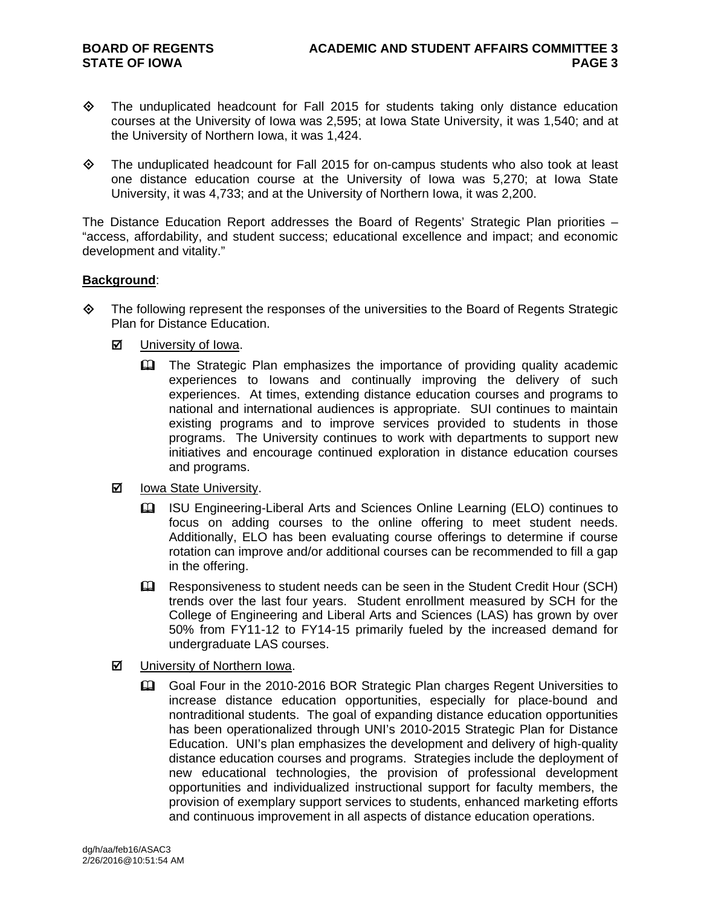- The unduplicated headcount for Fall 2015 for students taking only distance education courses at the University of Iowa was 2,595; at Iowa State University, it was 1,540; and at the University of Northern Iowa, it was 1,424.
- The unduplicated headcount for Fall 2015 for on-campus students who also took at least one distance education course at the University of Iowa was 5,270; at Iowa State University, it was 4,733; and at the University of Northern Iowa, it was 2,200.

The Distance Education Report addresses the Board of Regents' Strategic Plan priorities – "access, affordability, and student success; educational excellence and impact; and economic development and vitality."

#### **Background**:

- $\diamond$  The following represent the responses of the universities to the Board of Regents Strategic Plan for Distance Education.
	- **M** University of Iowa.
		- The Strategic Plan emphasizes the importance of providing quality academic experiences to Iowans and continually improving the delivery of such experiences. At times, extending distance education courses and programs to national and international audiences is appropriate. SUI continues to maintain existing programs and to improve services provided to students in those programs. The University continues to work with departments to support new initiatives and encourage continued exploration in distance education courses and programs.
	- $\boxtimes$  Iowa State University.
		- ISU Engineering-Liberal Arts and Sciences Online Learning (ELO) continues to focus on adding courses to the online offering to meet student needs. Additionally, ELO has been evaluating course offerings to determine if course rotation can improve and/or additional courses can be recommended to fill a gap in the offering.
		- Eu Responsiveness to student needs can be seen in the Student Credit Hour (SCH) trends over the last four years. Student enrollment measured by SCH for the College of Engineering and Liberal Arts and Sciences (LAS) has grown by over 50% from FY11-12 to FY14-15 primarily fueled by the increased demand for undergraduate LAS courses.
	- University of Northern Iowa.
		- Goal Four in the 2010-2016 BOR Strategic Plan charges Regent Universities to increase distance education opportunities, especially for place-bound and nontraditional students. The goal of expanding distance education opportunities has been operationalized through UNI's 2010-2015 Strategic Plan for Distance Education. UNI's plan emphasizes the development and delivery of high-quality distance education courses and programs. Strategies include the deployment of new educational technologies, the provision of professional development opportunities and individualized instructional support for faculty members, the provision of exemplary support services to students, enhanced marketing efforts and continuous improvement in all aspects of distance education operations.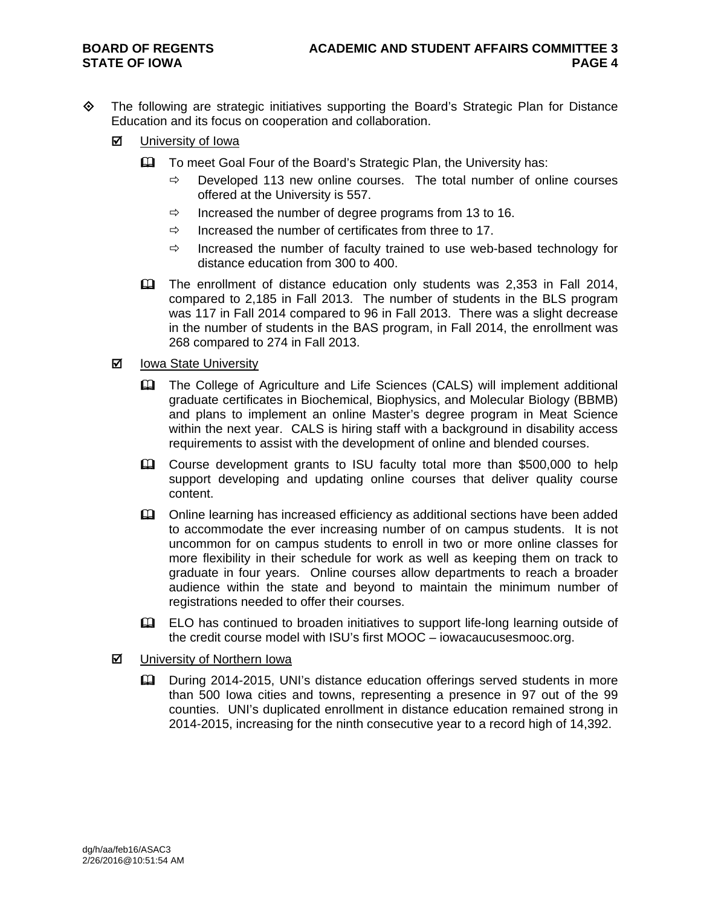- The following are strategic initiatives supporting the Board's Strategic Plan for Distance Education and its focus on cooperation and collaboration.
	- University of Iowa
		- **Example 1** To meet Goal Four of the Board's Strategic Plan, the University has:
			- $\Rightarrow$  Developed 113 new online courses. The total number of online courses offered at the University is 557.
			- $\Rightarrow$  Increased the number of degree programs from 13 to 16.
			- $\Rightarrow$  Increased the number of certificates from three to 17.
			- $\Rightarrow$  Increased the number of faculty trained to use web-based technology for distance education from 300 to 400.
		- The enrollment of distance education only students was 2,353 in Fall 2014, compared to 2,185 in Fall 2013. The number of students in the BLS program was 117 in Fall 2014 compared to 96 in Fall 2013. There was a slight decrease in the number of students in the BAS program, in Fall 2014, the enrollment was 268 compared to 274 in Fall 2013.
	- **Ø** lowa State University
		- The College of Agriculture and Life Sciences (CALS) will implement additional graduate certificates in Biochemical, Biophysics, and Molecular Biology (BBMB) and plans to implement an online Master's degree program in Meat Science within the next year. CALS is hiring staff with a background in disability access requirements to assist with the development of online and blended courses.
		- Course development grants to ISU faculty total more than \$500,000 to help support developing and updating online courses that deliver quality course content.
		- **E. Conline learning has increased efficiency as additional sections have been added** to accommodate the ever increasing number of on campus students. It is not uncommon for on campus students to enroll in two or more online classes for more flexibility in their schedule for work as well as keeping them on track to graduate in four years. Online courses allow departments to reach a broader audience within the state and beyond to maintain the minimum number of registrations needed to offer their courses.
		- ELO has continued to broaden initiatives to support life-long learning outside of the credit course model with ISU's first MOOC – iowacaucusesmooc.org.
	- University of Northern Iowa
		- During 2014-2015, UNI's distance education offerings served students in more than 500 Iowa cities and towns, representing a presence in 97 out of the 99 counties. UNI's duplicated enrollment in distance education remained strong in 2014-2015, increasing for the ninth consecutive year to a record high of 14,392.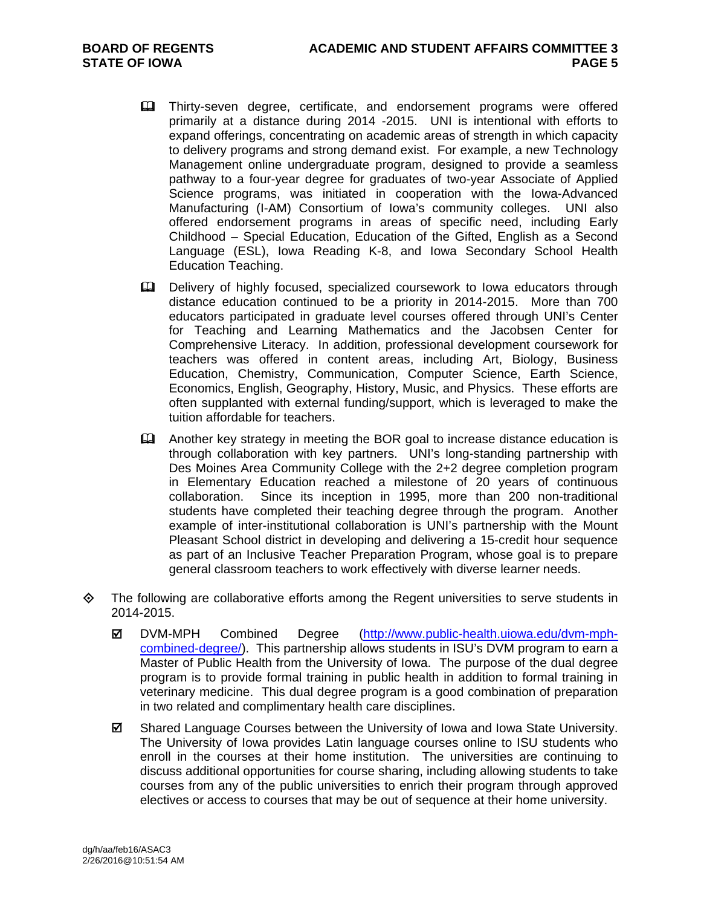- Thirty-seven degree, certificate, and endorsement programs were offered primarily at a distance during 2014 -2015. UNI is intentional with efforts to expand offerings, concentrating on academic areas of strength in which capacity to delivery programs and strong demand exist. For example, a new Technology Management online undergraduate program, designed to provide a seamless pathway to a four-year degree for graduates of two-year Associate of Applied Science programs, was initiated in cooperation with the Iowa-Advanced Manufacturing (I-AM) Consortium of Iowa's community colleges. UNI also offered endorsement programs in areas of specific need, including Early Childhood – Special Education, Education of the Gifted, English as a Second Language (ESL), Iowa Reading K-8, and Iowa Secondary School Health Education Teaching.
- Delivery of highly focused, specialized coursework to Iowa educators through distance education continued to be a priority in 2014-2015. More than 700 educators participated in graduate level courses offered through UNI's Center for Teaching and Learning Mathematics and the Jacobsen Center for Comprehensive Literacy. In addition, professional development coursework for teachers was offered in content areas, including Art, Biology, Business Education, Chemistry, Communication, Computer Science, Earth Science, Economics, English, Geography, History, Music, and Physics. These efforts are often supplanted with external funding/support, which is leveraged to make the tuition affordable for teachers.
- Another key strategy in meeting the BOR goal to increase distance education is through collaboration with key partners. UNI's long-standing partnership with Des Moines Area Community College with the 2+2 degree completion program in Elementary Education reached a milestone of 20 years of continuous collaboration. Since its inception in 1995, more than 200 non-traditional students have completed their teaching degree through the program. Another example of inter-institutional collaboration is UNI's partnership with the Mount Pleasant School district in developing and delivering a 15-credit hour sequence as part of an Inclusive Teacher Preparation Program, whose goal is to prepare general classroom teachers to work effectively with diverse learner needs.
- The following are collaborative efforts among the Regent universities to serve students in 2014-2015.
	- DVM-MPH Combined Degree (http://www.public-health.uiowa.edu/dvm-mphcombined-degree/). This partnership allows students in ISU's DVM program to earn a Master of Public Health from the University of Iowa. The purpose of the dual degree program is to provide formal training in public health in addition to formal training in veterinary medicine. This dual degree program is a good combination of preparation in two related and complimentary health care disciplines.
	- Shared Language Courses between the University of Iowa and Iowa State University. The University of Iowa provides Latin language courses online to ISU students who enroll in the courses at their home institution. The universities are continuing to discuss additional opportunities for course sharing, including allowing students to take courses from any of the public universities to enrich their program through approved electives or access to courses that may be out of sequence at their home university.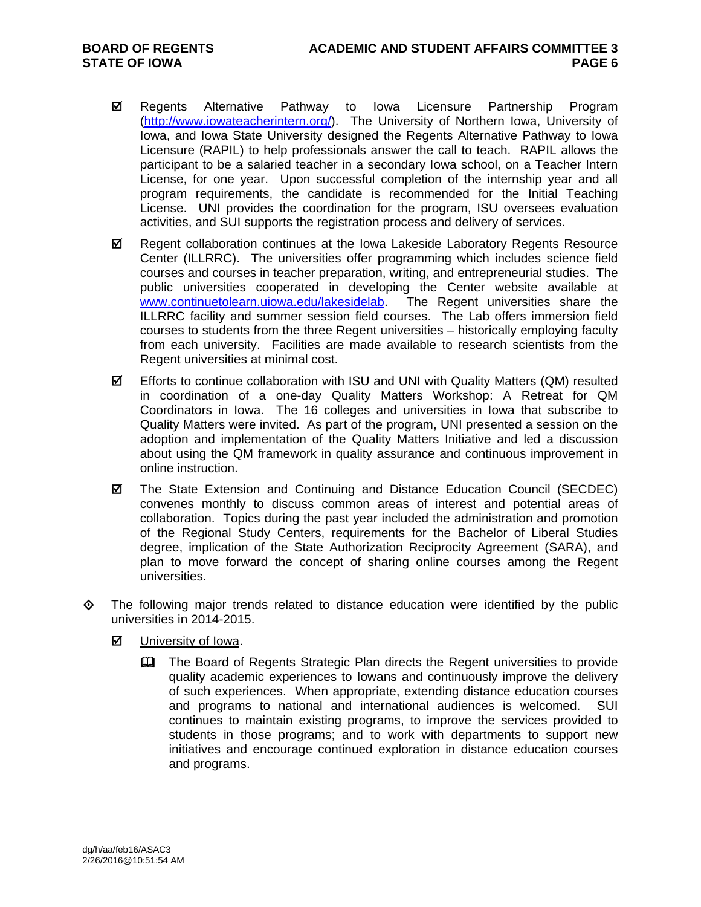- Regents Alternative Pathway to Iowa Licensure Partnership Program (http://www.iowateacherintern.org/). The University of Northern Iowa, University of Iowa, and Iowa State University designed the Regents Alternative Pathway to Iowa Licensure (RAPIL) to help professionals answer the call to teach. RAPIL allows the participant to be a salaried teacher in a secondary Iowa school, on a Teacher Intern License, for one year. Upon successful completion of the internship year and all program requirements, the candidate is recommended for the Initial Teaching License. UNI provides the coordination for the program, ISU oversees evaluation activities, and SUI supports the registration process and delivery of services.
- $✓$  Regent collaboration continues at the Iowa Lakeside Laboratory Regents Resource Center (ILLRRC). The universities offer programming which includes science field courses and courses in teacher preparation, writing, and entrepreneurial studies. The public universities cooperated in developing the Center website available at www.continuetolearn.uiowa.edu/lakesidelab. The Regent universities share the ILLRRC facility and summer session field courses. The Lab offers immersion field courses to students from the three Regent universities – historically employing faculty from each university. Facilities are made available to research scientists from the Regent universities at minimal cost.
- $\boxtimes$  Efforts to continue collaboration with ISU and UNI with Quality Matters (QM) resulted in coordination of a one-day Quality Matters Workshop: A Retreat for QM Coordinators in Iowa. The 16 colleges and universities in Iowa that subscribe to Quality Matters were invited. As part of the program, UNI presented a session on the adoption and implementation of the Quality Matters Initiative and led a discussion about using the QM framework in quality assurance and continuous improvement in online instruction.
- $\boxtimes$  The State Extension and Continuing and Distance Education Council (SECDEC) convenes monthly to discuss common areas of interest and potential areas of collaboration. Topics during the past year included the administration and promotion of the Regional Study Centers, requirements for the Bachelor of Liberal Studies degree, implication of the State Authorization Reciprocity Agreement (SARA), and plan to move forward the concept of sharing online courses among the Regent universities.
- $\Leftrightarrow$  The following major trends related to distance education were identified by the public universities in 2014-2015.
	- **M** University of Iowa.
		- The Board of Regents Strategic Plan directs the Regent universities to provide quality academic experiences to Iowans and continuously improve the delivery of such experiences. When appropriate, extending distance education courses and programs to national and international audiences is welcomed. SUI continues to maintain existing programs, to improve the services provided to students in those programs; and to work with departments to support new initiatives and encourage continued exploration in distance education courses and programs.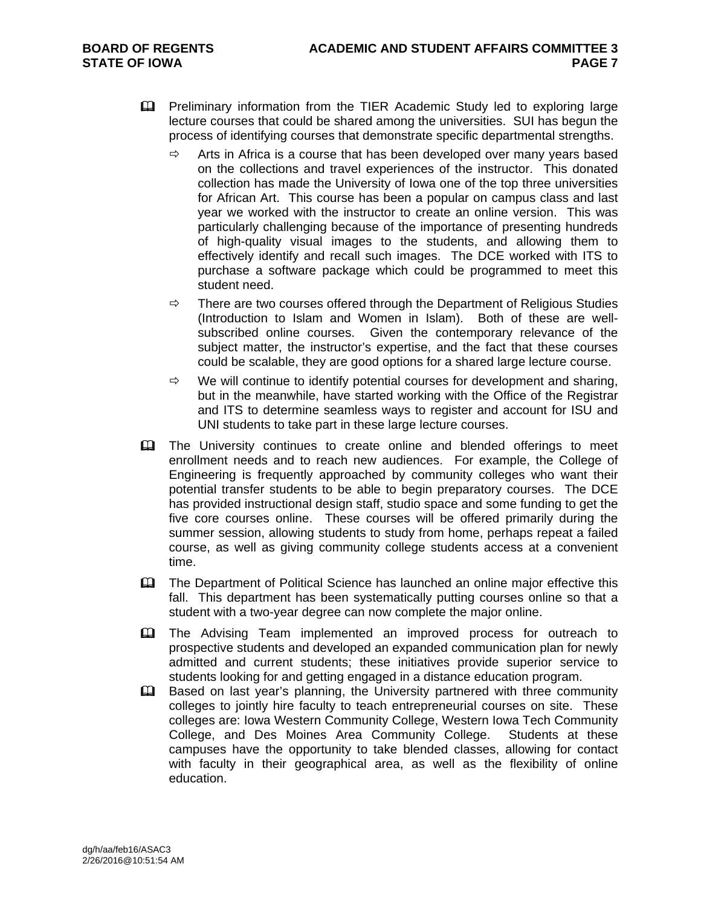- **Example 12** Preliminary information from the TIER Academic Study led to exploring large lecture courses that could be shared among the universities. SUI has begun the process of identifying courses that demonstrate specific departmental strengths.
	- $\Rightarrow$  Arts in Africa is a course that has been developed over many years based on the collections and travel experiences of the instructor. This donated collection has made the University of Iowa one of the top three universities for African Art. This course has been a popular on campus class and last year we worked with the instructor to create an online version. This was particularly challenging because of the importance of presenting hundreds of high-quality visual images to the students, and allowing them to effectively identify and recall such images. The DCE worked with ITS to purchase a software package which could be programmed to meet this student need.
	- $\Rightarrow$  There are two courses offered through the Department of Religious Studies (Introduction to Islam and Women in Islam). Both of these are wellsubscribed online courses. Given the contemporary relevance of the subject matter, the instructor's expertise, and the fact that these courses could be scalable, they are good options for a shared large lecture course.
	- $\Rightarrow$  We will continue to identify potential courses for development and sharing, but in the meanwhile, have started working with the Office of the Registrar and ITS to determine seamless ways to register and account for ISU and UNI students to take part in these large lecture courses.
- **Example 1** The University continues to create online and blended offerings to meet enrollment needs and to reach new audiences. For example, the College of Engineering is frequently approached by community colleges who want their potential transfer students to be able to begin preparatory courses. The DCE has provided instructional design staff, studio space and some funding to get the five core courses online. These courses will be offered primarily during the summer session, allowing students to study from home, perhaps repeat a failed course, as well as giving community college students access at a convenient time.
- The Department of Political Science has launched an online major effective this fall. This department has been systematically putting courses online so that a student with a two-year degree can now complete the major online.
- The Advising Team implemented an improved process for outreach to prospective students and developed an expanded communication plan for newly admitted and current students; these initiatives provide superior service to students looking for and getting engaged in a distance education program.
- **Example 3** Based on last year's planning, the University partnered with three community colleges to jointly hire faculty to teach entrepreneurial courses on site. These colleges are: Iowa Western Community College, Western Iowa Tech Community College, and Des Moines Area Community College. Students at these campuses have the opportunity to take blended classes, allowing for contact with faculty in their geographical area, as well as the flexibility of online education.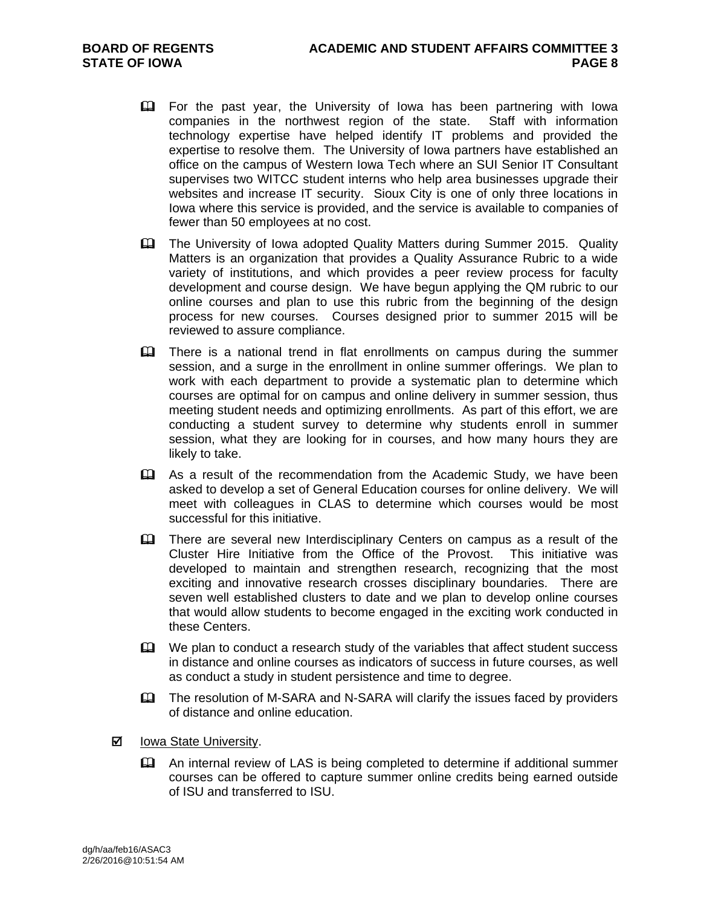- For the past year, the University of Iowa has been partnering with Iowa companies in the northwest region of the state. Staff with information technology expertise have helped identify IT problems and provided the expertise to resolve them. The University of Iowa partners have established an office on the campus of Western Iowa Tech where an SUI Senior IT Consultant supervises two WITCC student interns who help area businesses upgrade their websites and increase IT security. Sioux City is one of only three locations in Iowa where this service is provided, and the service is available to companies of fewer than 50 employees at no cost.
- The University of Iowa adopted Quality Matters during Summer 2015. Quality Matters is an organization that provides a Quality Assurance Rubric to a wide variety of institutions, and which provides a peer review process for faculty development and course design. We have begun applying the QM rubric to our online courses and plan to use this rubric from the beginning of the design process for new courses. Courses designed prior to summer 2015 will be reviewed to assure compliance.
- **Exager** There is a national trend in flat enrollments on campus during the summer session, and a surge in the enrollment in online summer offerings. We plan to work with each department to provide a systematic plan to determine which courses are optimal for on campus and online delivery in summer session, thus meeting student needs and optimizing enrollments. As part of this effort, we are conducting a student survey to determine why students enroll in summer session, what they are looking for in courses, and how many hours they are likely to take.
- As a result of the recommendation from the Academic Study, we have been asked to develop a set of General Education courses for online delivery. We will meet with colleagues in CLAS to determine which courses would be most successful for this initiative.
- There are several new Interdisciplinary Centers on campus as a result of the Cluster Hire Initiative from the Office of the Provost. This initiative was developed to maintain and strengthen research, recognizing that the most exciting and innovative research crosses disciplinary boundaries. There are seven well established clusters to date and we plan to develop online courses that would allow students to become engaged in the exciting work conducted in these Centers.
- $\mathbf{\mathfrak{m}}$  We plan to conduct a research study of the variables that affect student success in distance and online courses as indicators of success in future courses, as well as conduct a study in student persistence and time to degree.
- The resolution of M-SARA and N-SARA will clarify the issues faced by providers of distance and online education.
- $\boxtimes$  Iowa State University.
	- An internal review of LAS is being completed to determine if additional summer courses can be offered to capture summer online credits being earned outside of ISU and transferred to ISU.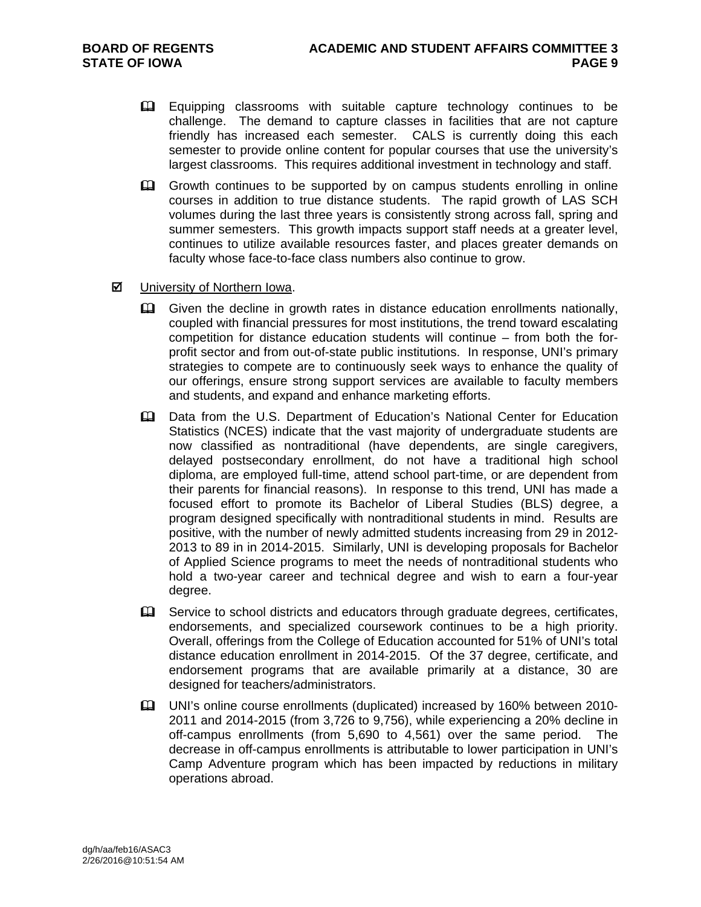- Equipping classrooms with suitable capture technology continues to be challenge. The demand to capture classes in facilities that are not capture friendly has increased each semester. CALS is currently doing this each semester to provide online content for popular courses that use the university's largest classrooms. This requires additional investment in technology and staff.
- Growth continues to be supported by on campus students enrolling in online courses in addition to true distance students. The rapid growth of LAS SCH volumes during the last three years is consistently strong across fall, spring and summer semesters. This growth impacts support staff needs at a greater level, continues to utilize available resources faster, and places greater demands on faculty whose face-to-face class numbers also continue to grow.
- $\boxtimes$  University of Northern Iowa.
	- Given the decline in growth rates in distance education enrollments nationally, coupled with financial pressures for most institutions, the trend toward escalating competition for distance education students will continue – from both the forprofit sector and from out-of-state public institutions. In response, UNI's primary strategies to compete are to continuously seek ways to enhance the quality of our offerings, ensure strong support services are available to faculty members and students, and expand and enhance marketing efforts.
	- Data from the U.S. Department of Education's National Center for Education Statistics (NCES) indicate that the vast majority of undergraduate students are now classified as nontraditional (have dependents, are single caregivers, delayed postsecondary enrollment, do not have a traditional high school diploma, are employed full-time, attend school part-time, or are dependent from their parents for financial reasons). In response to this trend, UNI has made a focused effort to promote its Bachelor of Liberal Studies (BLS) degree, a program designed specifically with nontraditional students in mind. Results are positive, with the number of newly admitted students increasing from 29 in 2012- 2013 to 89 in in 2014-2015. Similarly, UNI is developing proposals for Bachelor of Applied Science programs to meet the needs of nontraditional students who hold a two-year career and technical degree and wish to earn a four-year degree.
	- Service to school districts and educators through graduate degrees, certificates, endorsements, and specialized coursework continues to be a high priority. Overall, offerings from the College of Education accounted for 51% of UNI's total distance education enrollment in 2014-2015. Of the 37 degree, certificate, and endorsement programs that are available primarily at a distance, 30 are designed for teachers/administrators.
	- UNI's online course enrollments (duplicated) increased by 160% between 2010- 2011 and 2014-2015 (from 3,726 to 9,756), while experiencing a 20% decline in off-campus enrollments (from 5,690 to 4,561) over the same period. The decrease in off-campus enrollments is attributable to lower participation in UNI's Camp Adventure program which has been impacted by reductions in military operations abroad.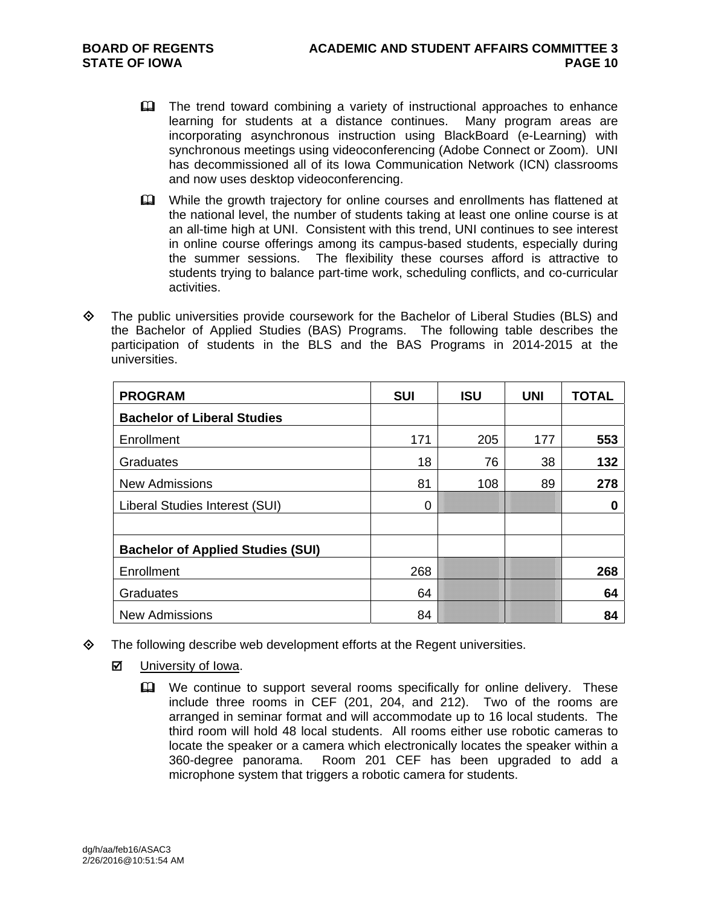- **The trend toward combining a variety of instructional approaches to enhance** learning for students at a distance continues. Many program areas are incorporating asynchronous instruction using BlackBoard (e-Learning) with synchronous meetings using videoconferencing (Adobe Connect or Zoom). UNI has decommissioned all of its Iowa Communication Network (ICN) classrooms and now uses desktop videoconferencing.
- **EQU** While the growth trajectory for online courses and enrollments has flattened at the national level, the number of students taking at least one online course is at an all-time high at UNI. Consistent with this trend, UNI continues to see interest in online course offerings among its campus-based students, especially during the summer sessions. The flexibility these courses afford is attractive to students trying to balance part-time work, scheduling conflicts, and co-curricular activities.
- $\Leftrightarrow$  The public universities provide coursework for the Bachelor of Liberal Studies (BLS) and the Bachelor of Applied Studies (BAS) Programs. The following table describes the participation of students in the BLS and the BAS Programs in 2014-2015 at the universities.

| <b>PROGRAM</b>                           | <b>SUI</b> | <b>ISU</b> | <b>UNI</b> | <b>TOTAL</b> |
|------------------------------------------|------------|------------|------------|--------------|
| <b>Bachelor of Liberal Studies</b>       |            |            |            |              |
| Enrollment                               | 171        | 205        | 177        | 553          |
| Graduates                                | 18         | 76         | 38         | 132          |
| <b>New Admissions</b>                    | 81         | 108        | 89         | 278          |
| Liberal Studies Interest (SUI)           | 0          |            |            | 0            |
|                                          |            |            |            |              |
| <b>Bachelor of Applied Studies (SUI)</b> |            |            |            |              |
| Enrollment                               | 268        |            |            | 268          |
| Graduates                                | 64         |            |            | 64           |
| <b>New Admissions</b>                    | 84         |            |            | 84           |

- $\diamond$  The following describe web development efforts at the Regent universities.
	- **M** University of Iowa.
		- We continue to support several rooms specifically for online delivery. These include three rooms in CEF (201, 204, and 212). Two of the rooms are arranged in seminar format and will accommodate up to 16 local students. The third room will hold 48 local students. All rooms either use robotic cameras to locate the speaker or a camera which electronically locates the speaker within a 360-degree panorama. Room 201 CEF has been upgraded to add a microphone system that triggers a robotic camera for students.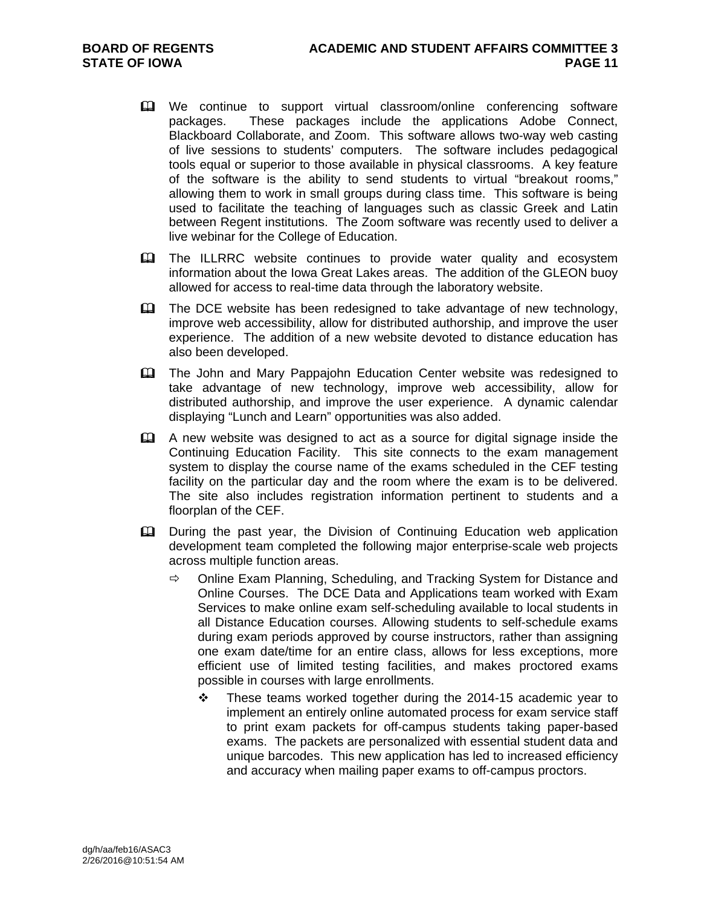- We continue to support virtual classroom/online conferencing software packages. These packages include the applications Adobe Connect, Blackboard Collaborate, and Zoom. This software allows two-way web casting of live sessions to students' computers. The software includes pedagogical tools equal or superior to those available in physical classrooms. A key feature of the software is the ability to send students to virtual "breakout rooms," allowing them to work in small groups during class time. This software is being used to facilitate the teaching of languages such as classic Greek and Latin between Regent institutions. The Zoom software was recently used to deliver a live webinar for the College of Education.
- **EQ The ILLRRC** website continues to provide water quality and ecosystem information about the Iowa Great Lakes areas. The addition of the GLEON buoy allowed for access to real-time data through the laboratory website.
- $\mathbf{\Omega}$  The DCE website has been redesigned to take advantage of new technology, improve web accessibility, allow for distributed authorship, and improve the user experience. The addition of a new website devoted to distance education has also been developed.
- The John and Mary Pappajohn Education Center website was redesigned to take advantage of new technology, improve web accessibility, allow for distributed authorship, and improve the user experience. A dynamic calendar displaying "Lunch and Learn" opportunities was also added.
- A new website was designed to act as a source for digital signage inside the Continuing Education Facility. This site connects to the exam management system to display the course name of the exams scheduled in the CEF testing facility on the particular day and the room where the exam is to be delivered. The site also includes registration information pertinent to students and a floorplan of the CEF.
- During the past year, the Division of Continuing Education web application development team completed the following major enterprise-scale web projects across multiple function areas.
	- $\Rightarrow$  Online Exam Planning, Scheduling, and Tracking System for Distance and Online Courses. The DCE Data and Applications team worked with Exam Services to make online exam self-scheduling available to local students in all Distance Education courses. Allowing students to self-schedule exams during exam periods approved by course instructors, rather than assigning one exam date/time for an entire class, allows for less exceptions, more efficient use of limited testing facilities, and makes proctored exams possible in courses with large enrollments.
		- \* These teams worked together during the 2014-15 academic year to implement an entirely online automated process for exam service staff to print exam packets for off-campus students taking paper-based exams. The packets are personalized with essential student data and unique barcodes. This new application has led to increased efficiency and accuracy when mailing paper exams to off-campus proctors.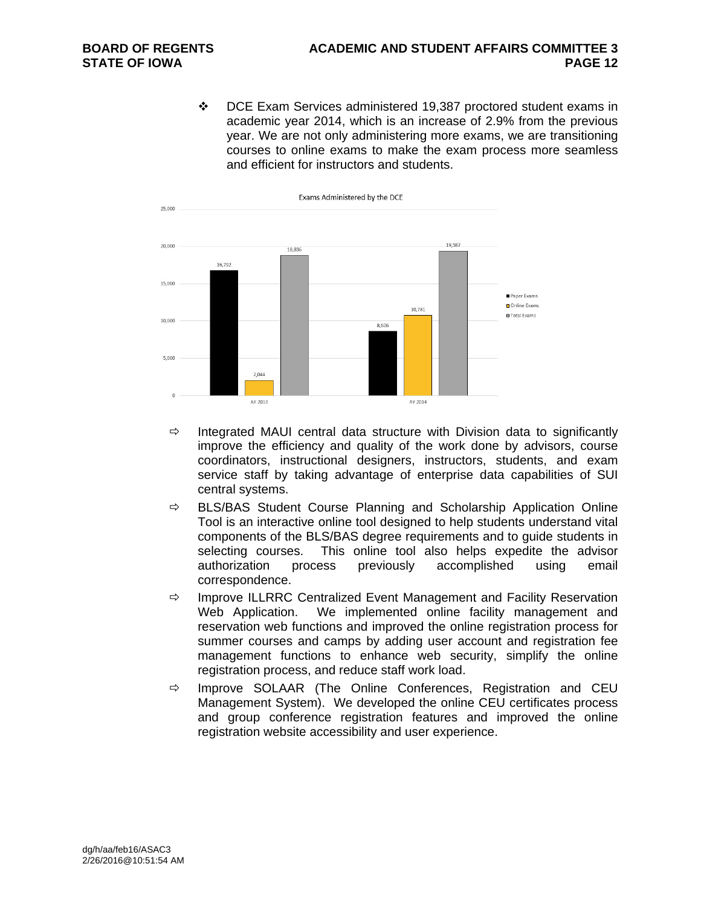DCE Exam Services administered 19,387 proctored student exams in academic year 2014, which is an increase of 2.9% from the previous year. We are not only administering more exams, we are transitioning courses to online exams to make the exam process more seamless and efficient for instructors and students.



- $\Rightarrow$  Integrated MAUI central data structure with Division data to significantly improve the efficiency and quality of the work done by advisors, course coordinators, instructional designers, instructors, students, and exam service staff by taking advantage of enterprise data capabilities of SUI central systems.
- $\Rightarrow$  BLS/BAS Student Course Planning and Scholarship Application Online Tool is an interactive online tool designed to help students understand vital components of the BLS/BAS degree requirements and to guide students in selecting courses. This online tool also helps expedite the advisor authorization process previously accomplished using email correspondence.
- $\Rightarrow$  Improve ILLRRC Centralized Event Management and Facility Reservation Web Application. We implemented online facility management and reservation web functions and improved the online registration process for summer courses and camps by adding user account and registration fee management functions to enhance web security, simplify the online registration process, and reduce staff work load.
- $\Rightarrow$  Improve SOLAAR (The Online Conferences, Registration and CEU Management System). We developed the online CEU certificates process and group conference registration features and improved the online registration website accessibility and user experience.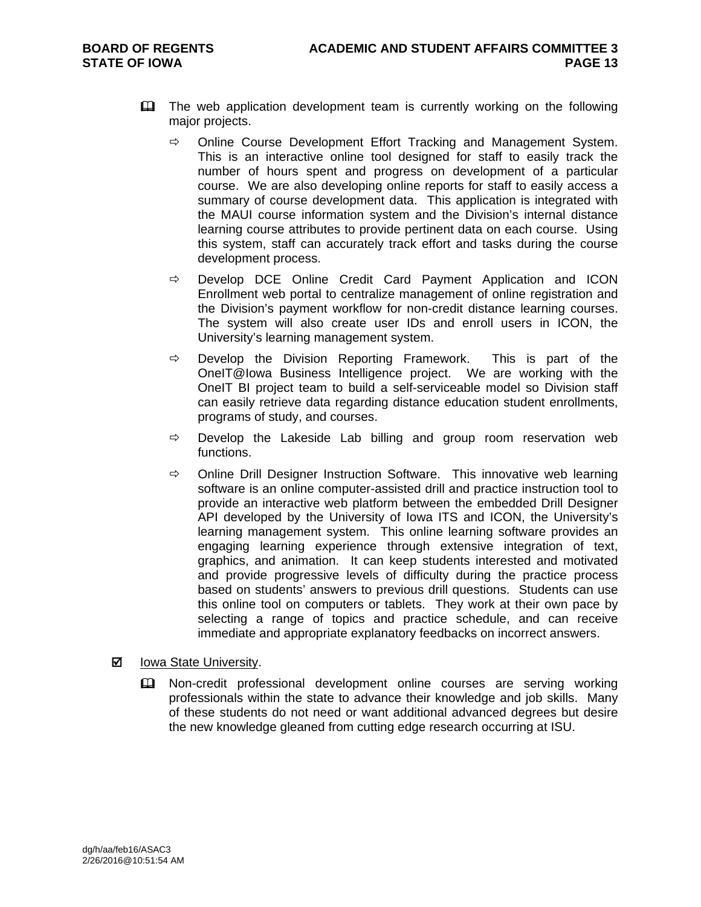- **Example 2** The web application development team is currently working on the following major projects.
	- $\Rightarrow$  Online Course Development Effort Tracking and Management System. This is an interactive online tool designed for staff to easily track the number of hours spent and progress on development of a particular course. We are also developing online reports for staff to easily access a summary of course development data. This application is integrated with the MAUI course information system and the Division's internal distance learning course attributes to provide pertinent data on each course. Using this system, staff can accurately track effort and tasks during the course development process.
	- $\Rightarrow$  Develop DCE Online Credit Card Payment Application and ICON Enrollment web portal to centralize management of online registration and the Division's payment workflow for non-credit distance learning courses. The system will also create user IDs and enroll users in ICON, the University's learning management system.
	- $\Rightarrow$  Develop the Division Reporting Framework. This is part of the OneIT@Iowa Business Intelligence project. We are working with the OneIT BI project team to build a self-serviceable model so Division staff can easily retrieve data regarding distance education student enrollments, programs of study, and courses.
	- $\Rightarrow$  Develop the Lakeside Lab billing and group room reservation web functions.
	- $\Rightarrow$  Online Drill Designer Instruction Software. This innovative web learning software is an online computer-assisted drill and practice instruction tool to provide an interactive web platform between the embedded Drill Designer API developed by the University of Iowa ITS and ICON, the University's learning management system. This online learning software provides an engaging learning experience through extensive integration of text, graphics, and animation. It can keep students interested and motivated and provide progressive levels of difficulty during the practice process based on students' answers to previous drill questions. Students can use this online tool on computers or tablets. They work at their own pace by selecting a range of topics and practice schedule, and can receive immediate and appropriate explanatory feedbacks on incorrect answers.

### **Ø** lowa State University.

 Non-credit professional development online courses are serving working professionals within the state to advance their knowledge and job skills. Many of these students do not need or want additional advanced degrees but desire the new knowledge gleaned from cutting edge research occurring at ISU.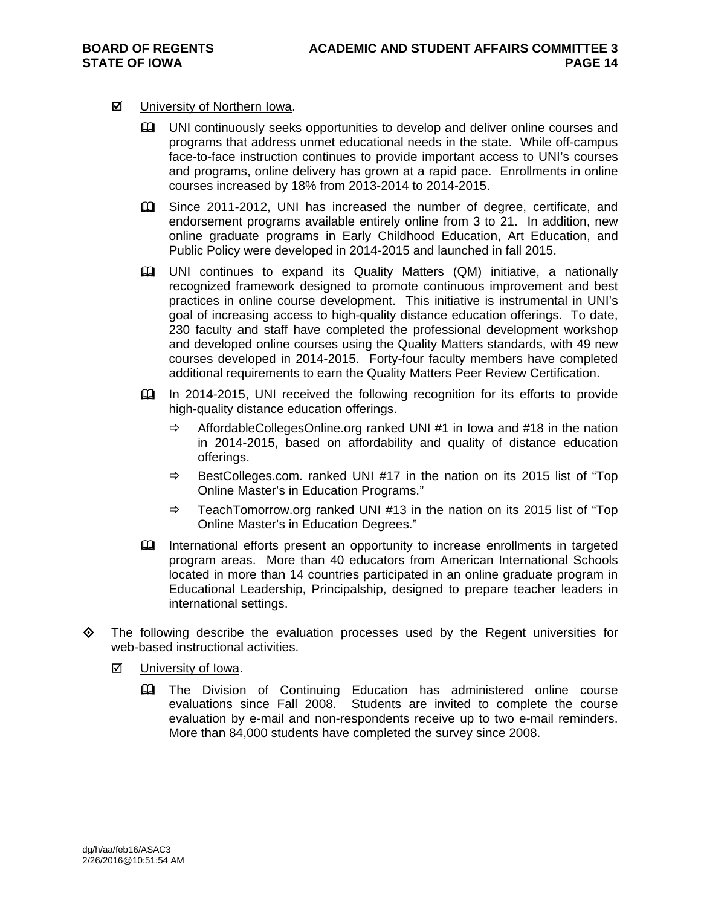#### $\boxtimes$  University of Northern Iowa.

- UNI continuously seeks opportunities to develop and deliver online courses and programs that address unmet educational needs in the state. While off-campus face-to-face instruction continues to provide important access to UNI's courses and programs, online delivery has grown at a rapid pace. Enrollments in online courses increased by 18% from 2013-2014 to 2014-2015.
- Since 2011-2012, UNI has increased the number of degree, certificate, and endorsement programs available entirely online from 3 to 21. In addition, new online graduate programs in Early Childhood Education, Art Education, and Public Policy were developed in 2014-2015 and launched in fall 2015.
- UNI continues to expand its Quality Matters (QM) initiative, a nationally recognized framework designed to promote continuous improvement and best practices in online course development. This initiative is instrumental in UNI's goal of increasing access to high-quality distance education offerings. To date, 230 faculty and staff have completed the professional development workshop and developed online courses using the Quality Matters standards, with 49 new courses developed in 2014-2015. Forty-four faculty members have completed additional requirements to earn the Quality Matters Peer Review Certification.
- In 2014-2015, UNI received the following recognition for its efforts to provide high-quality distance education offerings.
	- $\Rightarrow$  AffordableCollegesOnline.org ranked UNI #1 in Iowa and #18 in the nation in 2014-2015, based on affordability and quality of distance education offerings.
	- $\Rightarrow$  BestColleges.com. ranked UNI #17 in the nation on its 2015 list of "Top" Online Master's in Education Programs."
	- $\Rightarrow$  TeachTomorrow.org ranked UNI #13 in the nation on its 2015 list of "Top" Online Master's in Education Degrees."
- International efforts present an opportunity to increase enrollments in targeted program areas. More than 40 educators from American International Schools located in more than 14 countries participated in an online graduate program in Educational Leadership, Principalship, designed to prepare teacher leaders in international settings.
- $\Diamond$  The following describe the evaluation processes used by the Regent universities for web-based instructional activities.
	- **Ø** University of Iowa.
		- **EQ The Division of Continuing Education has administered online course** evaluations since Fall 2008. Students are invited to complete the course evaluation by e-mail and non-respondents receive up to two e-mail reminders. More than 84,000 students have completed the survey since 2008.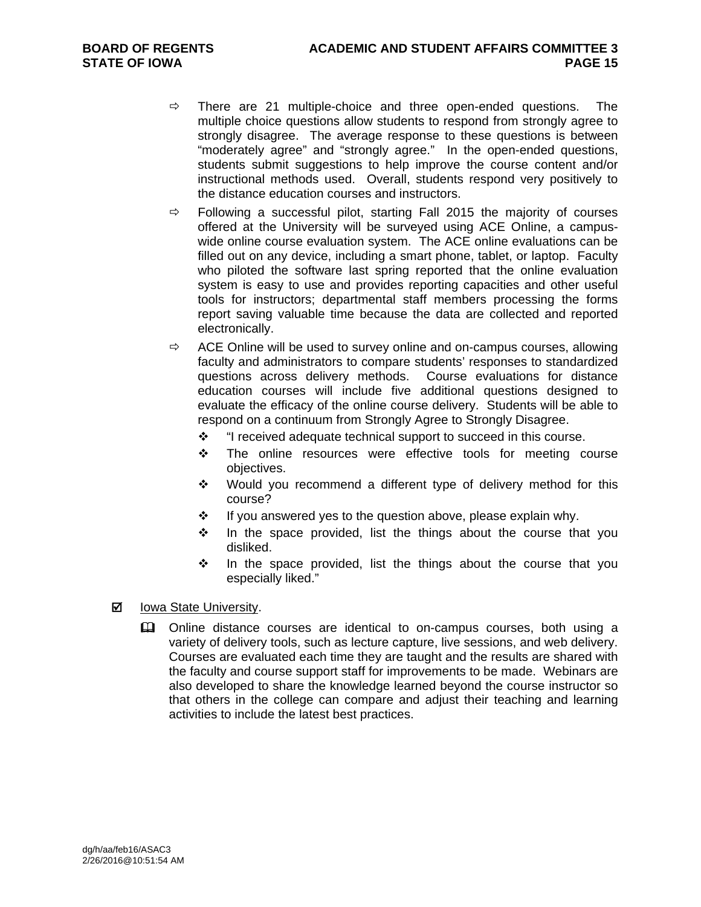- $\Rightarrow$  There are 21 multiple-choice and three open-ended questions. The multiple choice questions allow students to respond from strongly agree to strongly disagree. The average response to these questions is between "moderately agree" and "strongly agree." In the open-ended questions, students submit suggestions to help improve the course content and/or instructional methods used. Overall, students respond very positively to the distance education courses and instructors.
- $\Rightarrow$  Following a successful pilot, starting Fall 2015 the majority of courses offered at the University will be surveyed using ACE Online, a campuswide online course evaluation system. The ACE online evaluations can be filled out on any device, including a smart phone, tablet, or laptop. Faculty who piloted the software last spring reported that the online evaluation system is easy to use and provides reporting capacities and other useful tools for instructors; departmental staff members processing the forms report saving valuable time because the data are collected and reported electronically.
- $\Rightarrow$  ACE Online will be used to survey online and on-campus courses, allowing faculty and administrators to compare students' responses to standardized questions across delivery methods. Course evaluations for distance education courses will include five additional questions designed to evaluate the efficacy of the online course delivery. Students will be able to respond on a continuum from Strongly Agree to Strongly Disagree.
	- "I received adequate technical support to succeed in this course.
	- \* The online resources were effective tools for meeting course objectives.
	- \* Would you recommend a different type of delivery method for this course?
	- $\cdot \cdot$  If you answered yes to the question above, please explain why.
	- $\cdot \cdot$  In the space provided, list the things about the course that you disliked.
	- $\div$  In the space provided, list the things about the course that you especially liked."

#### **Ø** Iowa State University.

**EQ Online distance courses are identical to on-campus courses, both using a** variety of delivery tools, such as lecture capture, live sessions, and web delivery. Courses are evaluated each time they are taught and the results are shared with the faculty and course support staff for improvements to be made. Webinars are also developed to share the knowledge learned beyond the course instructor so that others in the college can compare and adjust their teaching and learning activities to include the latest best practices.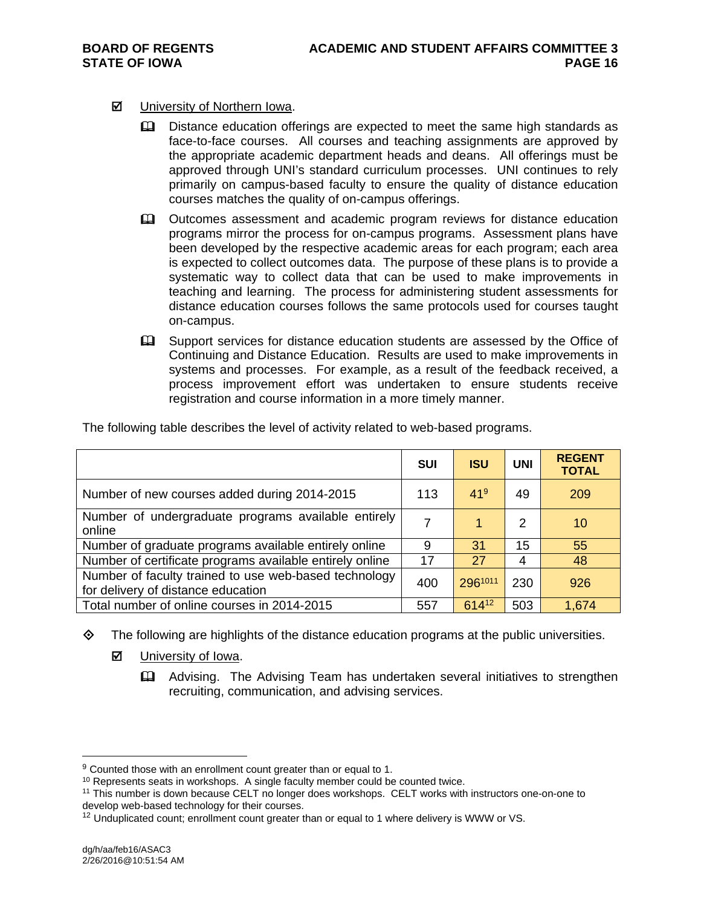- **Ø** University of Northern Iowa.
	- **Example 3** Distance education offerings are expected to meet the same high standards as face-to-face courses. All courses and teaching assignments are approved by the appropriate academic department heads and deans. All offerings must be approved through UNI's standard curriculum processes. UNI continues to rely primarily on campus-based faculty to ensure the quality of distance education courses matches the quality of on-campus offerings.
	- Outcomes assessment and academic program reviews for distance education programs mirror the process for on-campus programs. Assessment plans have been developed by the respective academic areas for each program; each area is expected to collect outcomes data. The purpose of these plans is to provide a systematic way to collect data that can be used to make improvements in teaching and learning. The process for administering student assessments for distance education courses follows the same protocols used for courses taught on-campus.
	- Support services for distance education students are assessed by the Office of Continuing and Distance Education. Results are used to make improvements in systems and processes. For example, as a result of the feedback received, a process improvement effort was undertaken to ensure students receive registration and course information in a more timely manner.

|                                                                                             | <b>SUI</b> | <b>ISU</b>      | <b>UNI</b> | <b>REGENT</b><br><b>TOTAL</b> |
|---------------------------------------------------------------------------------------------|------------|-----------------|------------|-------------------------------|
| Number of new courses added during 2014-2015                                                | 113        | 41 <sup>9</sup> | 49         | 209                           |
| Number of undergraduate programs available entirely<br>online                               | 7          | 1               | 2          | 10                            |
| Number of graduate programs available entirely online                                       | 9          | 31              | 15         | 55                            |
| Number of certificate programs available entirely online                                    | 17         | 27              | 4          | 48                            |
| Number of faculty trained to use web-based technology<br>for delivery of distance education | 400        | 2961011         | 230        | 926                           |
| Total number of online courses in 2014-2015                                                 | 557        | 61412           | 503        | 1,674                         |

The following table describes the level of activity related to web-based programs.

- $\Diamond$  The following are highlights of the distance education programs at the public universities.
	- **☑** University of Iowa.
		- Advising. The Advising Team has undertaken several initiatives to strengthen recruiting, communication, and advising services.

 $\overline{a}$ 

 $9$  Counted those with an enrollment count greater than or equal to 1.

<sup>&</sup>lt;sup>10</sup> Represents seats in workshops. A single faculty member could be counted twice.

<sup>11</sup> This number is down because CELT no longer does workshops. CELT works with instructors one-on-one to develop web-based technology for their courses.

<sup>&</sup>lt;sup>12</sup> Unduplicated count; enrollment count greater than or equal to 1 where delivery is WWW or VS.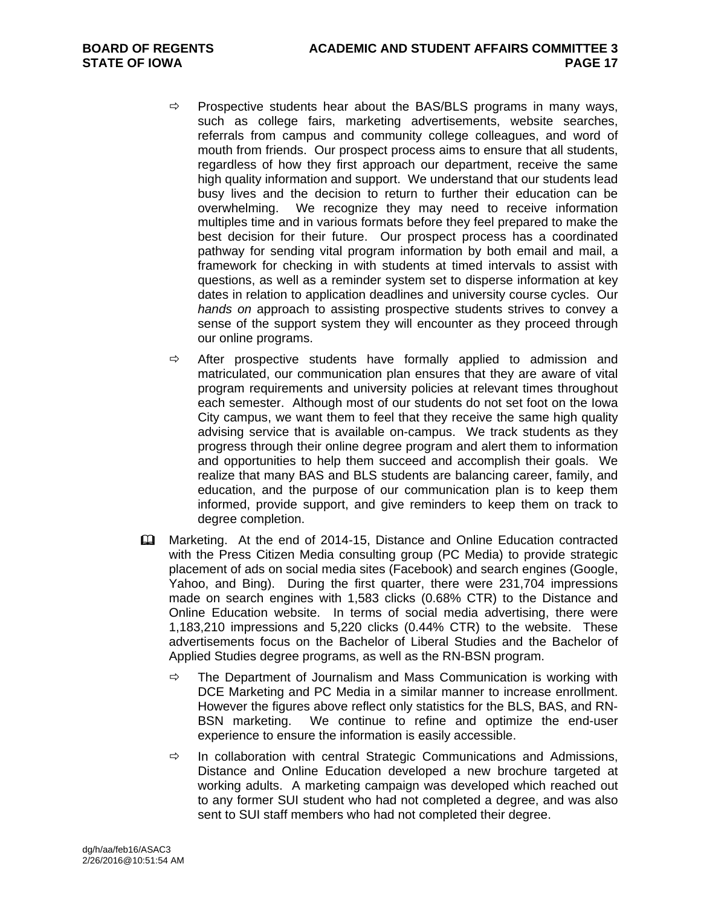- $\Rightarrow$  Prospective students hear about the BAS/BLS programs in many ways, such as college fairs, marketing advertisements, website searches, referrals from campus and community college colleagues, and word of mouth from friends. Our prospect process aims to ensure that all students, regardless of how they first approach our department, receive the same high quality information and support. We understand that our students lead busy lives and the decision to return to further their education can be overwhelming. We recognize they may need to receive information multiples time and in various formats before they feel prepared to make the best decision for their future. Our prospect process has a coordinated pathway for sending vital program information by both email and mail, a framework for checking in with students at timed intervals to assist with questions, as well as a reminder system set to disperse information at key dates in relation to application deadlines and university course cycles. Our *hands on* approach to assisting prospective students strives to convey a sense of the support system they will encounter as they proceed through our online programs.
- $\Rightarrow$  After prospective students have formally applied to admission and matriculated, our communication plan ensures that they are aware of vital program requirements and university policies at relevant times throughout each semester. Although most of our students do not set foot on the Iowa City campus, we want them to feel that they receive the same high quality advising service that is available on-campus. We track students as they progress through their online degree program and alert them to information and opportunities to help them succeed and accomplish their goals. We realize that many BAS and BLS students are balancing career, family, and education, and the purpose of our communication plan is to keep them informed, provide support, and give reminders to keep them on track to degree completion.
- Marketing. At the end of 2014-15, Distance and Online Education contracted with the Press Citizen Media consulting group (PC Media) to provide strategic placement of ads on social media sites (Facebook) and search engines (Google, Yahoo, and Bing). During the first quarter, there were 231,704 impressions made on search engines with 1,583 clicks (0.68% CTR) to the Distance and Online Education website. In terms of social media advertising, there were 1,183,210 impressions and 5,220 clicks (0.44% CTR) to the website. These advertisements focus on the Bachelor of Liberal Studies and the Bachelor of Applied Studies degree programs, as well as the RN-BSN program.
	- $\Rightarrow$  The Department of Journalism and Mass Communication is working with DCE Marketing and PC Media in a similar manner to increase enrollment. However the figures above reflect only statistics for the BLS, BAS, and RN-BSN marketing. We continue to refine and optimize the end-user experience to ensure the information is easily accessible.
	- $\Rightarrow$  In collaboration with central Strategic Communications and Admissions, Distance and Online Education developed a new brochure targeted at working adults. A marketing campaign was developed which reached out to any former SUI student who had not completed a degree, and was also sent to SUI staff members who had not completed their degree.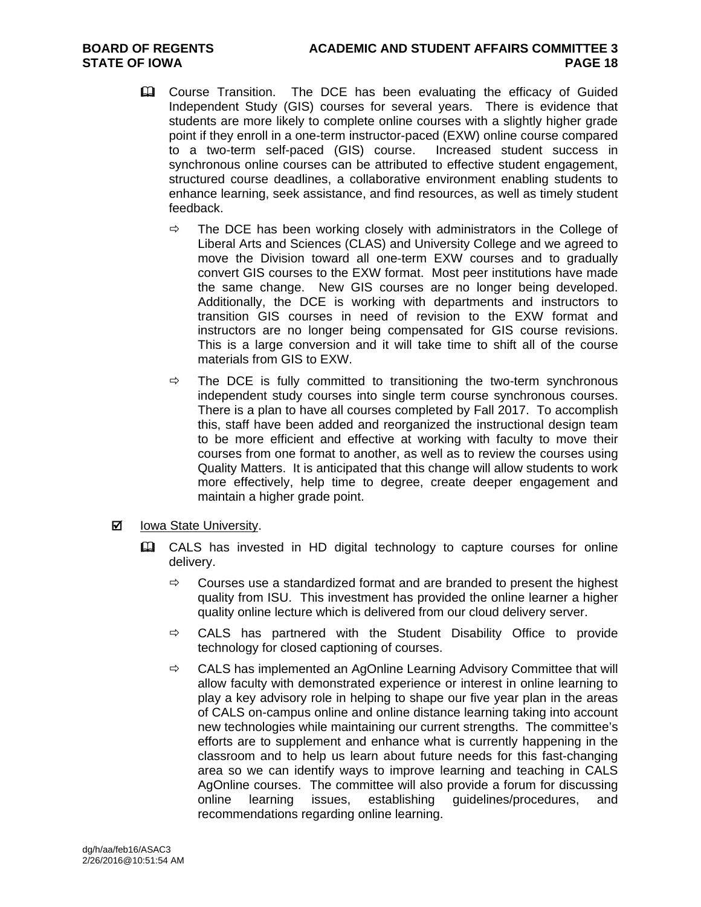- **Example 20** Course Transition. The DCE has been evaluating the efficacy of Guided Independent Study (GIS) courses for several years. There is evidence that students are more likely to complete online courses with a slightly higher grade point if they enroll in a one-term instructor-paced (EXW) online course compared to a two-term self-paced (GIS) course. Increased student success in synchronous online courses can be attributed to effective student engagement, structured course deadlines, a collaborative environment enabling students to enhance learning, seek assistance, and find resources, as well as timely student feedback.
	- $\Rightarrow$  The DCE has been working closely with administrators in the College of Liberal Arts and Sciences (CLAS) and University College and we agreed to move the Division toward all one-term EXW courses and to gradually convert GIS courses to the EXW format. Most peer institutions have made the same change. New GIS courses are no longer being developed. Additionally, the DCE is working with departments and instructors to transition GIS courses in need of revision to the EXW format and instructors are no longer being compensated for GIS course revisions. This is a large conversion and it will take time to shift all of the course materials from GIS to EXW.
	- $\Rightarrow$  The DCE is fully committed to transitioning the two-term synchronous independent study courses into single term course synchronous courses. There is a plan to have all courses completed by Fall 2017. To accomplish this, staff have been added and reorganized the instructional design team to be more efficient and effective at working with faculty to move their courses from one format to another, as well as to review the courses using Quality Matters. It is anticipated that this change will allow students to work more effectively, help time to degree, create deeper engagement and maintain a higher grade point.
- **Ø** lowa State University.
	- CALS has invested in HD digital technology to capture courses for online delivery.
		- $\Rightarrow$  Courses use a standardized format and are branded to present the highest quality from ISU. This investment has provided the online learner a higher quality online lecture which is delivered from our cloud delivery server.
		- $\Rightarrow$  CALS has partnered with the Student Disability Office to provide technology for closed captioning of courses.
		- $\Rightarrow$  CALS has implemented an AgOnline Learning Advisory Committee that will allow faculty with demonstrated experience or interest in online learning to play a key advisory role in helping to shape our five year plan in the areas of CALS on-campus online and online distance learning taking into account new technologies while maintaining our current strengths. The committee's efforts are to supplement and enhance what is currently happening in the classroom and to help us learn about future needs for this fast-changing area so we can identify ways to improve learning and teaching in CALS AgOnline courses. The committee will also provide a forum for discussing online learning issues, establishing guidelines/procedures, and recommendations regarding online learning.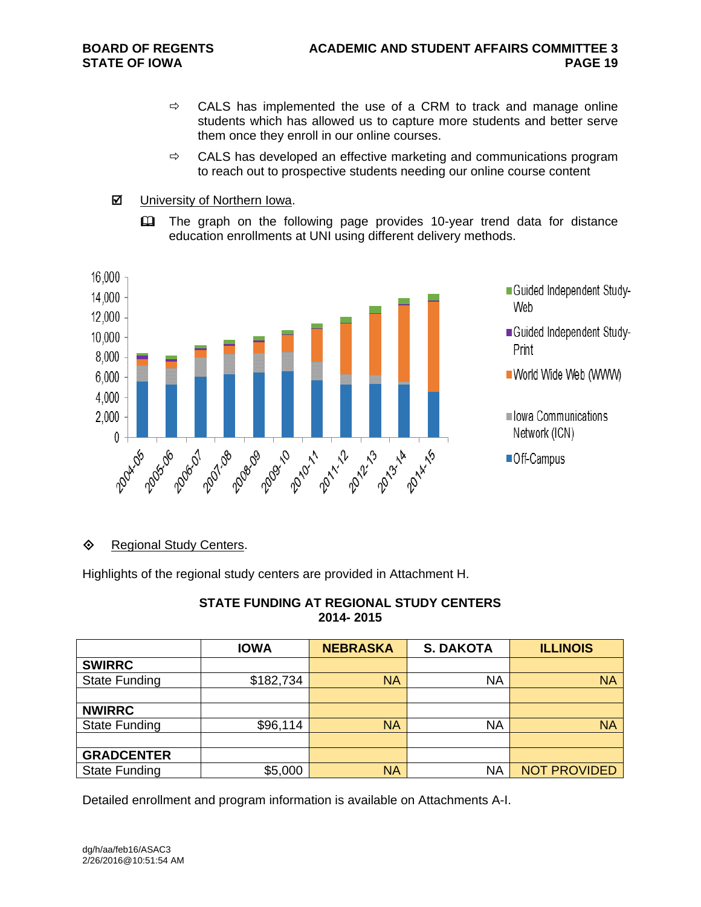- $\Rightarrow$  CALS has implemented the use of a CRM to track and manage online students which has allowed us to capture more students and better serve them once they enroll in our online courses.
- $\Rightarrow$  CALS has developed an effective marketing and communications program to reach out to prospective students needing our online course content
- **Ø** University of Northern Iowa.
	- **Example 3** The graph on the following page provides 10-year trend data for distance education enrollments at UNI using different delivery methods.



- Guided Independent Study-Web
- Guided Independent Study-Print
- World Wide Web (WWW)
- lowa Communications Network (ICN)
- Off-Campus

#### **♦ Regional Study Centers.**

Highlights of the regional study centers are provided in Attachment H.

| <b>STATE FUNDING AT REGIONAL STUDY CENTERS</b> |
|------------------------------------------------|
| 2014-2015                                      |

|                      | <b>IOWA</b> | <b>NEBRASKA</b> | <b>S. DAKOTA</b> | <b>ILLINOIS</b>     |
|----------------------|-------------|-----------------|------------------|---------------------|
| <b>SWIRRC</b>        |             |                 |                  |                     |
| <b>State Funding</b> | \$182,734   | <b>NA</b>       | <b>NA</b>        | <b>NA</b>           |
|                      |             |                 |                  |                     |
| <b>NWIRRC</b>        |             |                 |                  |                     |
| <b>State Funding</b> | \$96,114    | <b>NA</b>       | <b>NA</b>        | <b>NA</b>           |
|                      |             |                 |                  |                     |
| <b>GRADCENTER</b>    |             |                 |                  |                     |
| <b>State Funding</b> | \$5,000     | <b>NA</b>       | NA               | <b>NOT PROVIDED</b> |

Detailed enrollment and program information is available on Attachments A-I.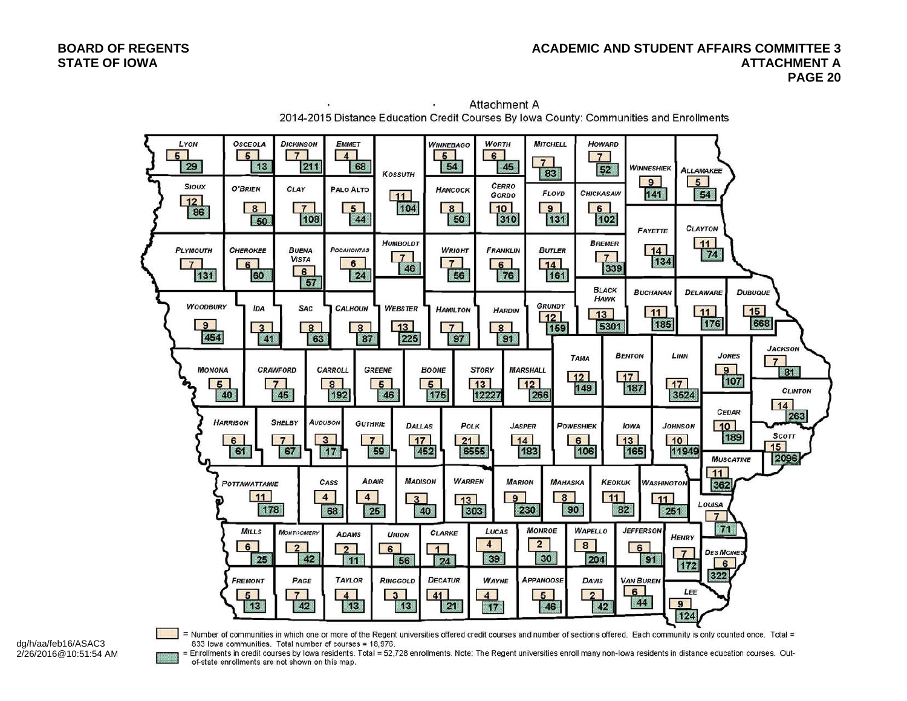

Attachment A  $\mathcal{L}_{\mathbf{a}}$ 2014-2015 Distance Education Credit Courses By Iowa County: Communities and Enrollments

dg/h/aa/feb16/ASAC3 2/26/2016@10:51:54 AM = Number of communities in which one or more of the Regent universities offered credit courses and number of sections offered. Each community is only counted once. Total = 833 lowa communities. Total number of courses = 18,976. Enrollments in credit courses by lowa residents. Total = 52,728 enrollments. Note: The Regent universities enroll many non-lowa residents in distance education courses. Out-

of-state enrollments are not shown on this map.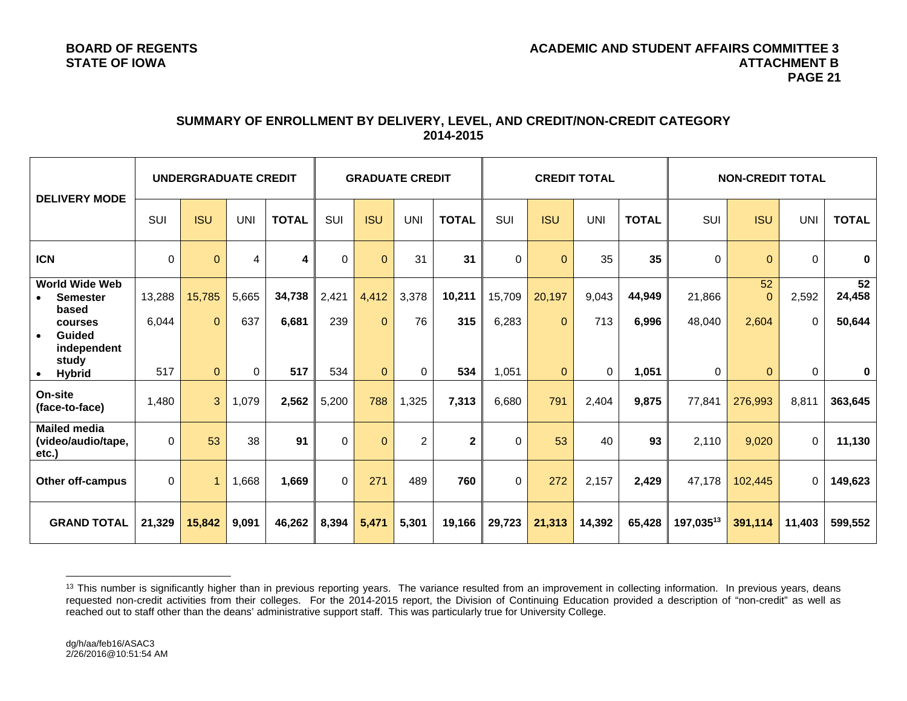#### **SUMMARY OF ENROLLMENT BY DELIVERY, LEVEL, AND CREDIT/NON-CREDIT CATEGORY 2014-2015**

| <b>DELIVERY MODE</b>                               | <b>UNDERGRADUATE CREDIT</b> |                |            |              | <b>GRADUATE CREDIT</b> |            |                | <b>CREDIT TOTAL</b> |            |              | <b>NON-CREDIT TOTAL</b> |              |           |                |            |              |
|----------------------------------------------------|-----------------------------|----------------|------------|--------------|------------------------|------------|----------------|---------------------|------------|--------------|-------------------------|--------------|-----------|----------------|------------|--------------|
|                                                    | SUI                         | <b>ISU</b>     | <b>UNI</b> | <b>TOTAL</b> | SUI                    | <b>ISU</b> | <b>UNI</b>     | <b>TOTAL</b>        | <b>SUI</b> | <b>ISU</b>   | <b>UNI</b>              | <b>TOTAL</b> | SUI       | <b>ISU</b>     | <b>UNI</b> | <b>TOTAL</b> |
| <b>ICN</b>                                         | 0                           | $\mathbf{0}$   | 4          | 4            | $\Omega$               | $\Omega$   | 31             | 31                  | 0          | $\Omega$     | 35                      | 35           | $\Omega$  | $\Omega$       | $\Omega$   | $\mathbf 0$  |
| <b>World Wide Web</b><br><b>Semester</b><br>based  | 13,288                      | 15,785         | 5,665      | 34,738       | 2,421                  | 4,412      | 3,378          | 10,211              | 15,709     | 20,197       | 9,043                   | 44,949       | 21,866    | 52<br>$\Omega$ | 2,592      | 52<br>24,458 |
| courses<br><b>Guided</b><br>$\bullet$              | 6,044                       | $\Omega$       | 637        | 6,681        | 239                    | $\Omega$   | 76             | 315                 | 6,283      | $\Omega$     | 713                     | 6,996        | 48,040    | 2,604          | $\Omega$   | 50,644       |
| independent<br>study<br><b>Hybrid</b>              | 517                         | $\mathbf{0}$   | 0          | 517          | 534                    | $\Omega$   | $\Omega$       | 534                 | 1,051      | $\mathbf{0}$ | $\Omega$                | 1,051        | $\Omega$  | $\mathbf{0}$   | 0          | $\mathbf 0$  |
| On-site<br>(face-to-face)                          | 1,480                       | 3              | 1,079      | 2,562        | 5,200                  | 788        | 1,325          | 7,313               | 6,680      | 791          | 2,404                   | 9,875        | 77,841    | 276,993        | 8,811      | 363,645      |
| <b>Mailed media</b><br>(video/audio/tape,<br>etc.) | $\Omega$                    | 53             | 38         | 91           | $\Omega$               | $\Omega$   | $\overline{2}$ | $\mathbf{2}$        | $\Omega$   | 53           | 40                      | 93           | 2,110     | 9,020          | $\Omega$   | 11,130       |
| <b>Other off-campus</b>                            | $\Omega$                    | $\overline{1}$ | 1,668      | 1,669        | $\Omega$               | 271        | 489            | 760                 | $\Omega$   | 272          | 2,157                   | 2,429        | 47,178    | 102,445        | $\Omega$   | 149,623      |
| <b>GRAND TOTAL</b>                                 | 21,329                      | 15,842         | 9,091      | 46,262       | 8,394                  | 5,471      | 5,301          | 19,166              | 29,723     | 21,313       | 14,392                  | 65,428       | 197,03513 | 391,114        | 11,403     | 599,552      |

<sup>&</sup>lt;sup>13</sup> This number is significantly higher than in previous reporting years. The variance resulted from an improvement in collecting information. In previous years, deans requested non-credit activities from their colleges. For the 2014-2015 report, the Division of Continuing Education provided a description of "non-credit" as well as reached out to staff other than the deans' administrative support staff. This was particularly true for University College.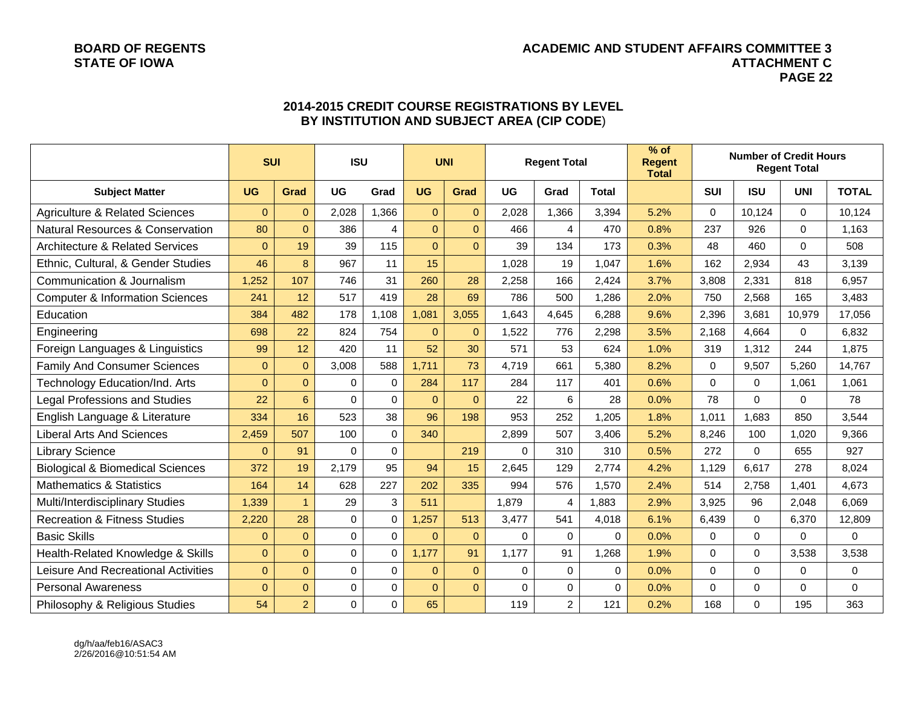#### **BOARD OF REGENTS ACADEMIC AND STUDENT AFFAIRS COMMITTEE 3 STATE OF IOWA ATTACHMENT C PAGE 22**

|                                             | <b>SUI</b>   |                | <b>ISU</b>  |             |              | <b>UNI</b>     |          | <b>Regent Total</b> |          | $%$ of<br><b>Regent</b><br><b>Total</b> | <b>Number of Credit Hours</b><br><b>Regent Total</b> |             |             |              |
|---------------------------------------------|--------------|----------------|-------------|-------------|--------------|----------------|----------|---------------------|----------|-----------------------------------------|------------------------------------------------------|-------------|-------------|--------------|
| <b>Subject Matter</b>                       | <b>UG</b>    | Grad           | <b>UG</b>   | Grad        | <b>UG</b>    | Grad           | UG       | Grad                | Total    |                                         | <b>SUI</b>                                           | <b>ISU</b>  | <b>UNI</b>  | <b>TOTAL</b> |
| <b>Agriculture &amp; Related Sciences</b>   | $\Omega$     | $\Omega$       | 2,028       | 1,366       | $\Omega$     | $\overline{0}$ | 2,028    | 1,366               | 3,394    | 5.2%                                    | 0                                                    | 10,124      | $\Omega$    | 10,124       |
| <b>Natural Resources &amp; Conservation</b> | 80           | $\overline{0}$ | 386         | 4           | $\mathbf 0$  | $\Omega$       | 466      | 4                   | 470      | 0.8%                                    | 237                                                  | 926         | $\mathbf 0$ | 1,163        |
| <b>Architecture &amp; Related Services</b>  | $\mathbf{0}$ | 19             | 39          | 115         | $\Omega$     | $\Omega$       | 39       | 134                 | 173      | 0.3%                                    | 48                                                   | 460         | $\Omega$    | 508          |
| Ethnic, Cultural, & Gender Studies          | 46           | 8              | 967         | 11          | 15           |                | 1,028    | 19                  | 1,047    | 1.6%                                    | 162                                                  | 2,934       | 43          | 3,139        |
| Communication & Journalism                  | 1,252        | 107            | 746         | 31          | 260          | 28             | 2,258    | 166                 | 2.424    | 3.7%                                    | 3,808                                                | 2,331       | 818         | 6,957        |
| <b>Computer &amp; Information Sciences</b>  | 241          | 12             | 517         | 419         | 28           | 69             | 786      | 500                 | 1,286    | 2.0%                                    | 750                                                  | 2,568       | 165         | 3,483        |
| Education                                   | 384          | 482            | 178         | 1,108       | 1,081        | 3,055          | 1,643    | 4,645               | 6,288    | 9.6%                                    | 2,396                                                | 3,681       | 10,979      | 17,056       |
| Engineering                                 | 698          | 22             | 824         | 754         | $\Omega$     | $\mathbf{0}$   | 1,522    | 776                 | 2,298    | 3.5%                                    | 2,168                                                | 4,664       | $\Omega$    | 6,832        |
| Foreign Languages & Linguistics             | 99           | 12             | 420         | 11          | 52           | 30             | 571      | 53                  | 624      | 1.0%                                    | 319                                                  | 1,312       | 244         | 1,875        |
| <b>Family And Consumer Sciences</b>         | $\mathbf{0}$ | $\mathbf{0}$   | 3,008       | 588         | 1,711        | 73             | 4,719    | 661                 | 5,380    | 8.2%                                    | $\Omega$                                             | 9,507       | 5,260       | 14,767       |
| Technology Education/Ind. Arts              | $\mathbf{0}$ | $\mathbf 0$    | $\mathbf 0$ | 0           | 284          | 117            | 284      | 117                 | 401      | 0.6%                                    | 0                                                    | 0           | 1,061       | 1,061        |
| <b>Legal Professions and Studies</b>        | 22           | 6              | $\Omega$    | $\Omega$    | $\mathbf{0}$ | $\Omega$       | 22       | 6                   | 28       | 0.0%                                    | 78                                                   | $\Omega$    | $\Omega$    | 78           |
| English Language & Literature               | 334          | 16             | 523         | 38          | 96           | 198            | 953      | 252                 | 1,205    | 1.8%                                    | 1,011                                                | 1,683       | 850         | 3,544        |
| <b>Liberal Arts And Sciences</b>            | 2,459        | 507            | 100         | $\mathbf 0$ | 340          |                | 2,899    | 507                 | 3,406    | 5.2%                                    | 8,246                                                | 100         | 1.020       | 9,366        |
| <b>Library Science</b>                      | $\Omega$     | 91             | $\Omega$    | $\mathbf 0$ |              | 219            | $\Omega$ | 310                 | 310      | 0.5%                                    | 272                                                  | $\Omega$    | 655         | 927          |
| <b>Biological &amp; Biomedical Sciences</b> | 372          | 19             | 2,179       | 95          | 94           | 15             | 2,645    | 129                 | 2,774    | 4.2%                                    | 1,129                                                | 6,617       | 278         | 8,024        |
| <b>Mathematics &amp; Statistics</b>         | 164          | 14             | 628         | 227         | 202          | 335            | 994      | 576                 | 1,570    | 2.4%                                    | 514                                                  | 2,758       | 1,401       | 4,673        |
| Multi/Interdisciplinary Studies             | 1,339        | $\overline{1}$ | 29          | 3           | 511          |                | 1,879    | 4                   | 1,883    | 2.9%                                    | 3,925                                                | 96          | 2.048       | 6.069        |
| <b>Recreation &amp; Fitness Studies</b>     | 2,220        | 28             | $\mathbf 0$ | $\mathbf 0$ | 1,257        | 513            | 3,477    | 541                 | 4,018    | 6.1%                                    | 6,439                                                | $\mathbf 0$ | 6,370       | 12,809       |
| <b>Basic Skills</b>                         | $\mathbf{0}$ | $\mathbf{0}$   | $\mathbf 0$ | 0           | $\mathbf{0}$ | $\overline{0}$ | 0        | $\Omega$            | $\Omega$ | 0.0%                                    | 0                                                    | $\mathbf 0$ | $\mathbf 0$ | $\mathbf 0$  |
| Health-Related Knowledge & Skills           | $\mathbf{0}$ | $\mathbf{0}$   | $\Omega$    | $\Omega$    | 1,177        | 91             | 1,177    | 91                  | 1,268    | 1.9%                                    | $\Omega$                                             | $\Omega$    | 3,538       | 3,538        |
| Leisure And Recreational Activities         | $\pmb{0}$    | $\overline{0}$ | 0           | $\mathbf 0$ | $\pmb{0}$    | $\overline{0}$ | 0        | $\mathbf 0$         | 0        | 0.0%                                    | 0                                                    | $\mathbf 0$ | 0           | $\mathbf 0$  |
| <b>Personal Awareness</b>                   | $\Omega$     | $\Omega$       | 0           | $\mathbf 0$ | $\Omega$     | $\Omega$       | $\Omega$ | $\Omega$            | $\Omega$ | 0.0%                                    | 0                                                    | $\Omega$    | $\Omega$    | $\Omega$     |
| Philosophy & Religious Studies              | 54           | $\overline{a}$ | 0           | $\mathbf 0$ | 65           |                | 119      | $\overline{c}$      | 121      | 0.2%                                    | 168                                                  | 0           | 195         | 363          |

### **2014-2015 CREDIT COURSE REGISTRATIONS BY LEVEL BY INSTITUTION AND SUBJECT AREA (CIP CODE**)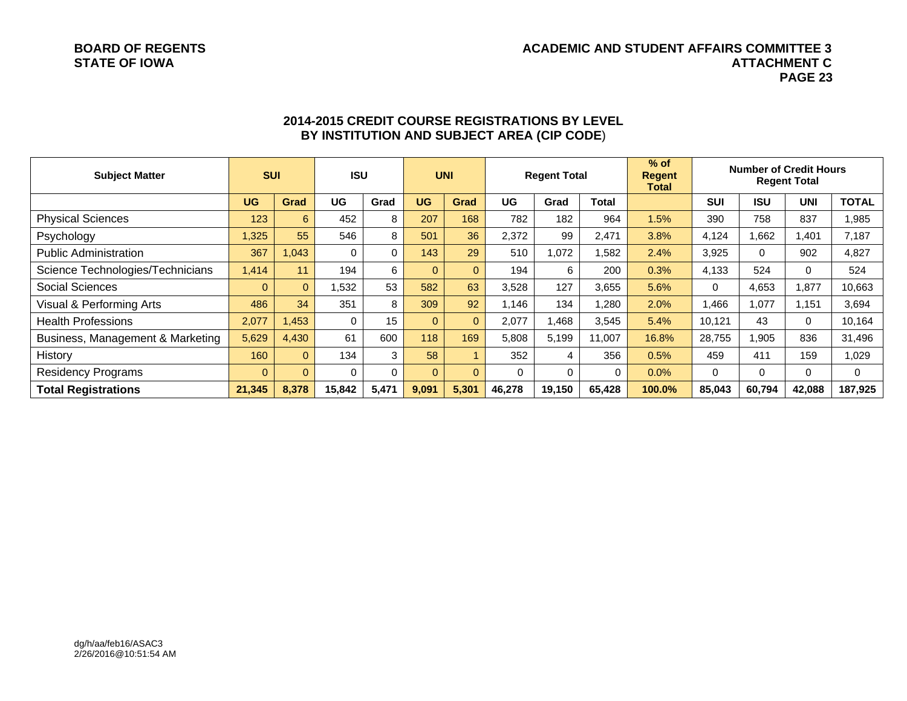#### **BOARD OF REGENTS ACADEMIC AND STUDENT AFFAIRS COMMITTEE 3 STATE OF IOWA ATTACHMENT C PAGE 23**

| <b>Subject Matter</b>            | <b>SUI</b> |                | <b>UNI</b><br><b>ISU</b><br><b>Regent Total</b> |       | $%$ of<br><b>Regent</b><br>Total | <b>Number of Credit Hours</b><br><b>Regent Total</b> |          |          |          |        |            |             |              |              |
|----------------------------------|------------|----------------|-------------------------------------------------|-------|----------------------------------|------------------------------------------------------|----------|----------|----------|--------|------------|-------------|--------------|--------------|
|                                  | <b>UG</b>  | Grad           | UG                                              | Grad  | <b>UG</b>                        | Grad                                                 | UG       | Grad     | Total    |        | <b>SUI</b> | <b>ISU</b>  | <b>UNI</b>   | <b>TOTAL</b> |
| <b>Physical Sciences</b>         | 123        | 6              | 452                                             | 8     | 207                              | 168                                                  | 782      | 182      | 964      | 1.5%   | 390        | 758         | 837          | 1,985        |
| Psychology                       | 1,325      | 55             | 546                                             | 8     | 501                              | 36                                                   | 2,372    | 99       | 2,471    | 3.8%   | 4.124      | .662        | ,401         | 7,187        |
| <b>Public Administration</b>     | 367        | 1,043          | 0                                               | 0     | 143                              | 29                                                   | 510      | 1,072    | 1,582    | 2.4%   | 3,925      | $\mathbf 0$ | 902          | 4,827        |
| Science Technologies/Technicians | 1,414      | 11             | 194                                             | 6     | $\Omega$                         | $\Omega$                                             | 194      | 6        | 200      | 0.3%   | 4,133      | 524         | $\Omega$     | 524          |
| <b>Social Sciences</b>           | $\Omega$   | $\mathbf{0}$   | 532,                                            | 53    | 582                              | 63                                                   | 3,528    | 127      | 3,655    | 5.6%   | $\Omega$   | 4,653       | ,877         | 10,663       |
| Visual & Performing Arts         | 486        | 34             | 351                                             | 8     | 309                              | 92                                                   | 1.146    | 134      | 1,280    | 2.0%   | A66,       | ,077        | ,151         | 3,694        |
| <b>Health Professions</b>        | 2,077      | 1,453          | $\Omega$                                        | 15    | $\Omega$                         | $\Omega$                                             | 2,077    | 1,468    | 3,545    | 5.4%   | 10.121     | 43          | $\mathbf{0}$ | 10,164       |
| Business, Management & Marketing | 5,629      | 4,430          | 61                                              | 600   | 118                              | 169                                                  | 5,808    | 5,199    | 11,007   | 16.8%  | 28,755     | .905        | 836          | 31,496       |
| History                          | 160        | $\mathbf{0}$   | 134                                             | 3     | 58                               |                                                      | 352      | 4        | 356      | 0.5%   | 459        | 411         | 159          | 1,029        |
| <b>Residency Programs</b>        | $\Omega$   | $\overline{0}$ | 0                                               | 0     | $\Omega$                         | $\Omega$                                             | $\Omega$ | $\Omega$ | $\Omega$ | 0.0%   | $\Omega$   | $\mathbf 0$ | $\Omega$     | 0            |
| <b>Total Registrations</b>       | 21,345     | 8,378          | 15,842                                          | 5,471 | 9,091                            | 5,301                                                | 46,278   | 19,150   | 65,428   | 100.0% | 85,043     | 60,794      | 42,088       | 187,925      |

#### **2014-2015 CREDIT COURSE REGISTRATIONS BY LEVEL BY INSTITUTION AND SUBJECT AREA (CIP CODE**)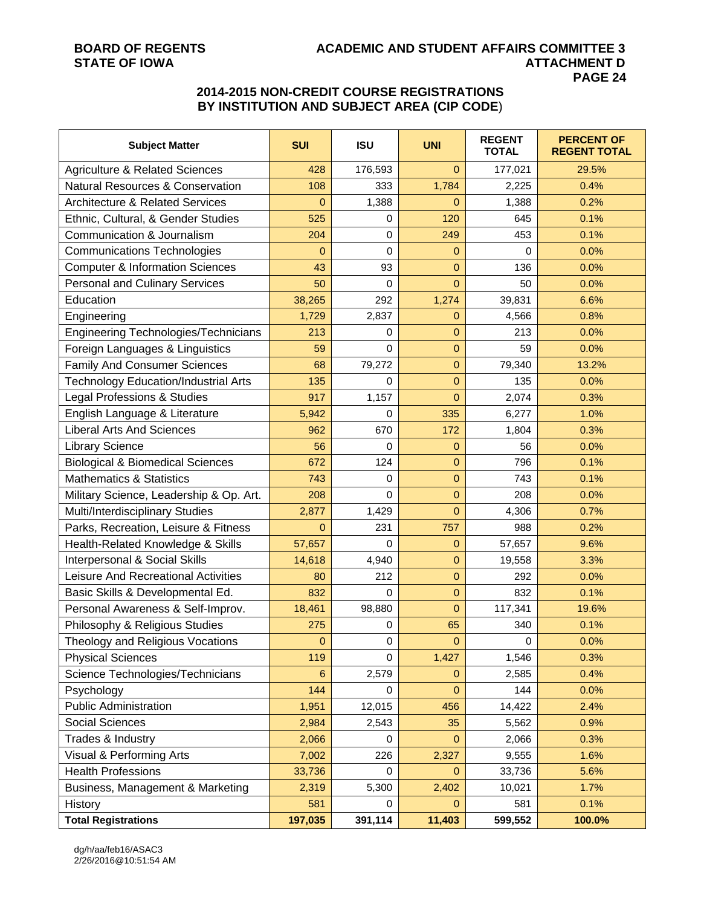#### **BOARD OF REGENTS ACADEMIC AND STUDENT AFFAIRS COMMITTEE 3 ATTACHMENT D PAGE 24**

### **2014-2015 NON-CREDIT COURSE REGISTRATIONS BY INSTITUTION AND SUBJECT AREA (CIP CODE**)

| <b>Subject Matter</b>                       | <b>SUI</b>     | <b>ISU</b> | <b>UNI</b>     | <b>REGENT</b><br><b>TOTAL</b> | <b>PERCENT OF</b><br><b>REGENT TOTAL</b> |
|---------------------------------------------|----------------|------------|----------------|-------------------------------|------------------------------------------|
| <b>Agriculture &amp; Related Sciences</b>   | 428            | 176,593    | $\Omega$       | 177,021                       | 29.5%                                    |
| <b>Natural Resources &amp; Conservation</b> | 108            | 333        | 1,784          | 2,225                         | 0.4%                                     |
| <b>Architecture &amp; Related Services</b>  | 0              | 1,388      | $\mathbf{0}$   | 1,388                         | 0.2%                                     |
| Ethnic, Cultural, & Gender Studies          | 525            | 0          | 120            | 645                           | 0.1%                                     |
| Communication & Journalism                  | 204            | 0          | 249            | 453                           | 0.1%                                     |
| <b>Communications Technologies</b>          | $\mathbf{0}$   | 0          | $\mathbf{0}$   | $\Omega$                      | 0.0%                                     |
| <b>Computer &amp; Information Sciences</b>  | 43             | 93         | $\overline{0}$ | 136                           | 0.0%                                     |
| <b>Personal and Culinary Services</b>       | 50             | 0          | $\overline{0}$ | 50                            | 0.0%                                     |
| Education                                   | 38,265         | 292        | 1,274          | 39,831                        | 6.6%                                     |
| Engineering                                 | 1,729          | 2,837      | $\mathbf{0}$   | 4,566                         | 0.8%                                     |
| Engineering Technologies/Technicians        | 213            | 0          | $\overline{0}$ | 213                           | 0.0%                                     |
| Foreign Languages & Linguistics             | 59             | $\Omega$   | $\mathbf{0}$   | 59                            | 0.0%                                     |
| <b>Family And Consumer Sciences</b>         | 68             | 79,272     | 0              | 79,340                        | 13.2%                                    |
| <b>Technology Education/Industrial Arts</b> | 135            | 0          | $\mathbf 0$    | 135                           | 0.0%                                     |
| Legal Professions & Studies                 | 917            | 1,157      | $\Omega$       | 2,074                         | 0.3%                                     |
| English Language & Literature               | 5,942          | 0          | 335            | 6,277                         | 1.0%                                     |
| <b>Liberal Arts And Sciences</b>            | 962            | 670        | 172            | 1,804                         | 0.3%                                     |
| <b>Library Science</b>                      | 56             | 0          | 0              | 56                            | 0.0%                                     |
| <b>Biological &amp; Biomedical Sciences</b> | 672            | 124        | $\mathbf{0}$   | 796                           | 0.1%                                     |
| <b>Mathematics &amp; Statistics</b>         | 743            | 0          | $\overline{0}$ | 743                           | 0.1%                                     |
| Military Science, Leadership & Op. Art.     | 208            | $\Omega$   | $\overline{0}$ | 208                           | 0.0%                                     |
| Multi/Interdisciplinary Studies             | 2,877          | 1,429      | $\Omega$       | 4,306                         | 0.7%                                     |
| Parks, Recreation, Leisure & Fitness        | $\overline{0}$ | 231        | 757            | 988                           | 0.2%                                     |
| Health-Related Knowledge & Skills           | 57,657         | 0          | 0              | 57,657                        | 9.6%                                     |
| Interpersonal & Social Skills               | 14,618         | 4,940      | $\mathbf 0$    | 19,558                        | 3.3%                                     |
| Leisure And Recreational Activities         | 80             | 212        | $\overline{0}$ | 292                           | 0.0%                                     |
| Basic Skills & Developmental Ed.            | 832            | 0          | $\mathbf{0}$   | 832                           | 0.1%                                     |
| Personal Awareness & Self-Improv.           | 18,461         | 98,880     | $\mathbf{0}$   | 117,341                       | 19.6%                                    |
| Philosophy & Religious Studies              | 275            | 0          | 65             | 340                           | 0.1%                                     |
| Theology and Religious Vocations            | 0              | 0          | $\mathbf 0$    | 0                             | 0.0%                                     |
| <b>Physical Sciences</b>                    | 119            | 0          | 1,427          | 1,546                         | 0.3%                                     |
| Science Technologies/Technicians            | $6\phantom{1}$ | 2,579      | $\mathbf{0}$   | 2,585                         | 0.4%                                     |
| Psychology                                  | 144            | 0          | $\mathbf{0}$   | 144                           | 0.0%                                     |
| <b>Public Administration</b>                | 1,951          | 12,015     | 456            | 14,422                        | 2.4%                                     |
| <b>Social Sciences</b>                      | 2,984          | 2,543      | 35             | 5,562                         | 0.9%                                     |
| Trades & Industry                           | 2,066          | 0          | $\mathbf 0$    | 2,066                         | 0.3%                                     |
| Visual & Performing Arts                    | 7,002          | 226        | 2,327          | 9,555                         | 1.6%                                     |
| <b>Health Professions</b>                   | 33,736         | 0          | $\mathbf{0}$   | 33,736                        | 5.6%                                     |
| Business, Management & Marketing            | 2,319          | 5,300      | 2,402          | 10,021                        | 1.7%                                     |
| <b>History</b>                              | 581            | 0          | $\mathbf{0}$   | 581                           | 0.1%                                     |
| <b>Total Registrations</b>                  | 197,035        | 391,114    | 11,403         | 599,552                       | 100.0%                                   |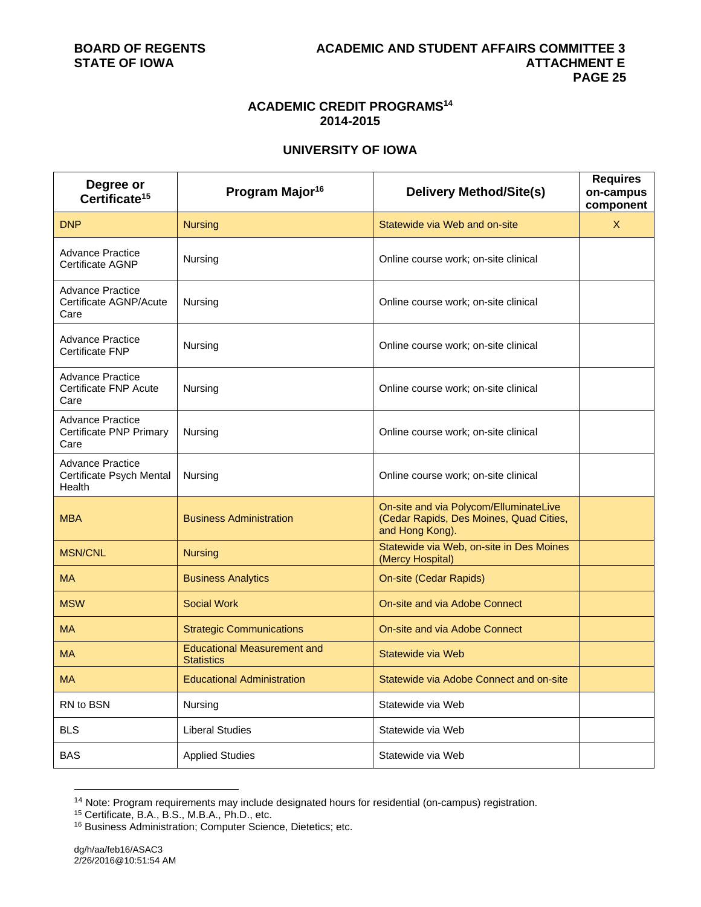#### **ACADEMIC CREDIT PROGRAMS14 2014-2015**

### **UNIVERSITY OF IOWA**

| Degree or<br>Certificate <sup>15</sup>                        | Program Major <sup>16</sup>                             | <b>Delivery Method/Site(s)</b>                                                                       | <b>Requires</b><br>on-campus<br>component |
|---------------------------------------------------------------|---------------------------------------------------------|------------------------------------------------------------------------------------------------------|-------------------------------------------|
| <b>DNP</b>                                                    | <b>Nursing</b>                                          | Statewide via Web and on-site                                                                        | X                                         |
| <b>Advance Practice</b><br>Certificate AGNP                   | Nursing                                                 | Online course work; on-site clinical                                                                 |                                           |
| <b>Advance Practice</b><br>Certificate AGNP/Acute<br>Care     | Nursing                                                 | Online course work; on-site clinical                                                                 |                                           |
| <b>Advance Practice</b><br><b>Certificate FNP</b>             | Nursing                                                 | Online course work; on-site clinical                                                                 |                                           |
| <b>Advance Practice</b><br>Certificate FNP Acute<br>Care      | Nursing                                                 | Online course work; on-site clinical                                                                 |                                           |
| <b>Advance Practice</b><br>Certificate PNP Primary<br>Care    | Nursing                                                 | Online course work; on-site clinical                                                                 |                                           |
| <b>Advance Practice</b><br>Certificate Psych Mental<br>Health | Nursing                                                 | Online course work; on-site clinical                                                                 |                                           |
| <b>MBA</b>                                                    | <b>Business Administration</b>                          | On-site and via Polycom/ElluminateLive<br>(Cedar Rapids, Des Moines, Quad Cities,<br>and Hong Kong). |                                           |
| <b>MSN/CNL</b>                                                | <b>Nursing</b>                                          | Statewide via Web, on-site in Des Moines<br>(Mercy Hospital)                                         |                                           |
| <b>MA</b>                                                     | <b>Business Analytics</b>                               | <b>On-site (Cedar Rapids)</b>                                                                        |                                           |
| <b>MSW</b>                                                    | <b>Social Work</b>                                      | On-site and via Adobe Connect                                                                        |                                           |
| <b>MA</b>                                                     | <b>Strategic Communications</b>                         | On-site and via Adobe Connect                                                                        |                                           |
| <b>MA</b>                                                     | <b>Educational Measurement and</b><br><b>Statistics</b> | Statewide via Web                                                                                    |                                           |
| <b>MA</b>                                                     | <b>Educational Administration</b>                       | Statewide via Adobe Connect and on-site                                                              |                                           |
| RN to BSN                                                     | Nursing                                                 | Statewide via Web                                                                                    |                                           |
| <b>BLS</b>                                                    | <b>Liberal Studies</b>                                  | Statewide via Web                                                                                    |                                           |
| <b>BAS</b>                                                    | <b>Applied Studies</b>                                  | Statewide via Web                                                                                    |                                           |

<sup>&</sup>lt;sup>14</sup> Note: Program requirements may include designated hours for residential (on-campus) registration.<br><sup>15</sup> Certificate, B.A., B.S., M.B.A., Ph.D., etc.

l

<sup>16</sup> Business Administration; Computer Science, Dietetics; etc.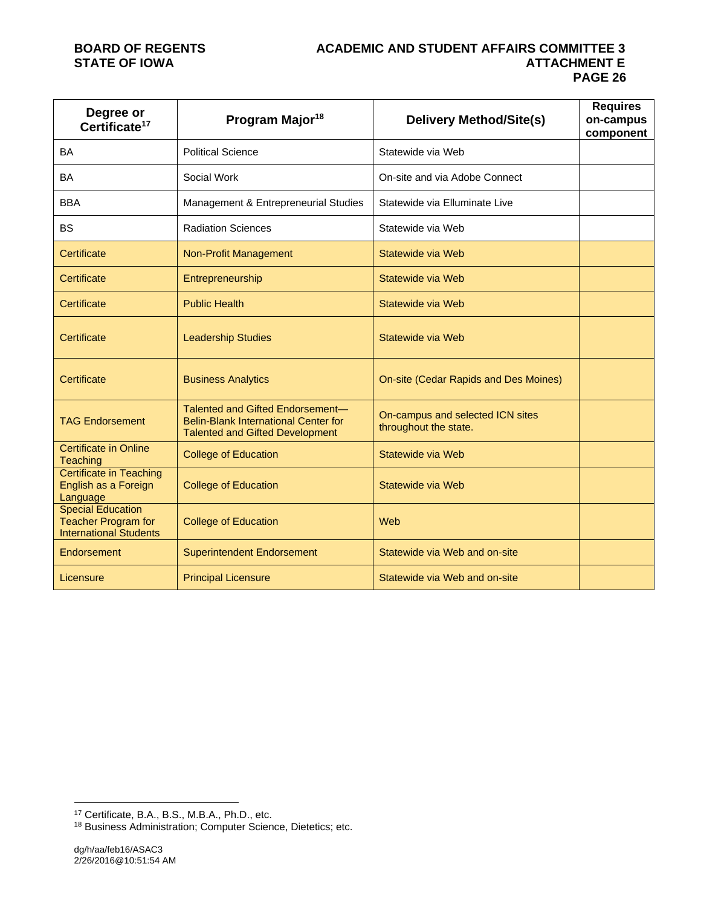#### **BOARD OF REGENTS ACADEMIC AND STUDENT AFFAIRS COMMITTEE 3 ATTACHMENT E PAGE 26**

| Degree or<br>Certificate <sup>17</sup>                                                  | Program Major <sup>18</sup>                                                                                        | <b>Delivery Method/Site(s)</b>                            | <b>Requires</b><br>on-campus<br>component |
|-----------------------------------------------------------------------------------------|--------------------------------------------------------------------------------------------------------------------|-----------------------------------------------------------|-------------------------------------------|
| <b>BA</b>                                                                               | <b>Political Science</b>                                                                                           | Statewide via Web                                         |                                           |
| <b>BA</b>                                                                               | Social Work                                                                                                        | On-site and via Adobe Connect                             |                                           |
| <b>BBA</b>                                                                              | Management & Entrepreneurial Studies                                                                               | Statewide via Elluminate Live                             |                                           |
| <b>BS</b>                                                                               | <b>Radiation Sciences</b>                                                                                          | Statewide via Web                                         |                                           |
| Certificate                                                                             | <b>Non-Profit Management</b>                                                                                       | Statewide via Web                                         |                                           |
| Certificate                                                                             | Entrepreneurship                                                                                                   | Statewide via Web                                         |                                           |
| Certificate                                                                             | <b>Public Health</b>                                                                                               | Statewide via Web                                         |                                           |
| Certificate                                                                             | <b>Leadership Studies</b>                                                                                          | Statewide via Web                                         |                                           |
| Certificate                                                                             | <b>Business Analytics</b>                                                                                          | On-site (Cedar Rapids and Des Moines)                     |                                           |
| <b>TAG Endorsement</b>                                                                  | Talented and Gifted Endorsement-<br>Belin-Blank International Center for<br><b>Talented and Gifted Development</b> | On-campus and selected ICN sites<br>throughout the state. |                                           |
| <b>Certificate in Online</b><br>Teaching                                                | <b>College of Education</b>                                                                                        | Statewide via Web                                         |                                           |
| <b>Certificate in Teaching</b><br>English as a Foreign<br>Language                      | <b>College of Education</b>                                                                                        | Statewide via Web                                         |                                           |
| <b>Special Education</b><br><b>Teacher Program for</b><br><b>International Students</b> | <b>College of Education</b>                                                                                        | Web                                                       |                                           |
| Endorsement                                                                             | <b>Superintendent Endorsement</b>                                                                                  | Statewide via Web and on-site                             |                                           |
| Licensure                                                                               | <b>Principal Licensure</b>                                                                                         | Statewide via Web and on-site                             |                                           |

l 17 Certificate, B.A., B.S., M.B.A., Ph.D., etc.

<sup>&</sup>lt;sup>18</sup> Business Administration; Computer Science, Dietetics; etc.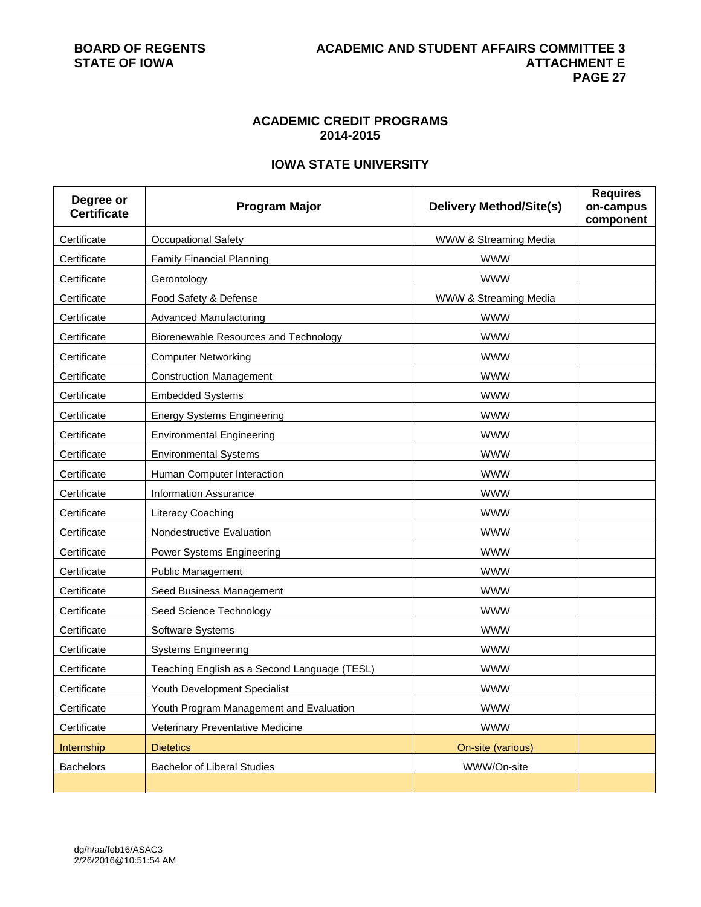### **ACADEMIC CREDIT PROGRAMS 2014-2015**

### **IOWA STATE UNIVERSITY**

| Degree or<br><b>Certificate</b> | <b>Program Major</b>                         | <b>Delivery Method/Site(s)</b> | <b>Requires</b><br>on-campus<br>component |
|---------------------------------|----------------------------------------------|--------------------------------|-------------------------------------------|
| Certificate                     | <b>Occupational Safety</b>                   | WWW & Streaming Media          |                                           |
| Certificate                     | <b>Family Financial Planning</b>             | <b>WWW</b>                     |                                           |
| Certificate                     | Gerontology                                  | <b>WWW</b>                     |                                           |
| Certificate                     | Food Safety & Defense                        | WWW & Streaming Media          |                                           |
| Certificate                     | <b>Advanced Manufacturing</b>                | <b>WWW</b>                     |                                           |
| Certificate                     | Biorenewable Resources and Technology        | <b>WWW</b>                     |                                           |
| Certificate                     | <b>Computer Networking</b>                   | <b>WWW</b>                     |                                           |
| Certificate                     | <b>Construction Management</b>               | <b>WWW</b>                     |                                           |
| Certificate                     | <b>Embedded Systems</b>                      | <b>WWW</b>                     |                                           |
| Certificate                     | <b>Energy Systems Engineering</b>            | <b>WWW</b>                     |                                           |
| Certificate                     | <b>Environmental Engineering</b>             | <b>WWW</b>                     |                                           |
| Certificate                     | <b>Environmental Systems</b>                 | <b>WWW</b>                     |                                           |
| Certificate                     | Human Computer Interaction                   | <b>WWW</b>                     |                                           |
| Certificate                     | <b>Information Assurance</b>                 | <b>WWW</b>                     |                                           |
| Certificate                     | Literacy Coaching                            | <b>WWW</b>                     |                                           |
| Certificate                     | Nondestructive Evaluation                    | <b>WWW</b>                     |                                           |
| Certificate                     | Power Systems Engineering                    | <b>WWW</b>                     |                                           |
| Certificate                     | <b>Public Management</b>                     | <b>WWW</b>                     |                                           |
| Certificate                     | Seed Business Management                     | <b>WWW</b>                     |                                           |
| Certificate                     | Seed Science Technology                      | <b>WWW</b>                     |                                           |
| Certificate                     | Software Systems                             | <b>WWW</b>                     |                                           |
| Certificate                     | <b>Systems Engineering</b>                   | <b>WWW</b>                     |                                           |
| Certificate                     | Teaching English as a Second Language (TESL) | <b>WWW</b>                     |                                           |
| Certificate                     | Youth Development Specialist                 | <b>WWW</b>                     |                                           |
| Certificate                     | Youth Program Management and Evaluation      | <b>WWW</b>                     |                                           |
| Certificate                     | Veterinary Preventative Medicine             | <b>WWW</b>                     |                                           |
| Internship                      | <b>Dietetics</b>                             | On-site (various)              |                                           |
| <b>Bachelors</b>                | <b>Bachelor of Liberal Studies</b>           | WWW/On-site                    |                                           |
|                                 |                                              |                                |                                           |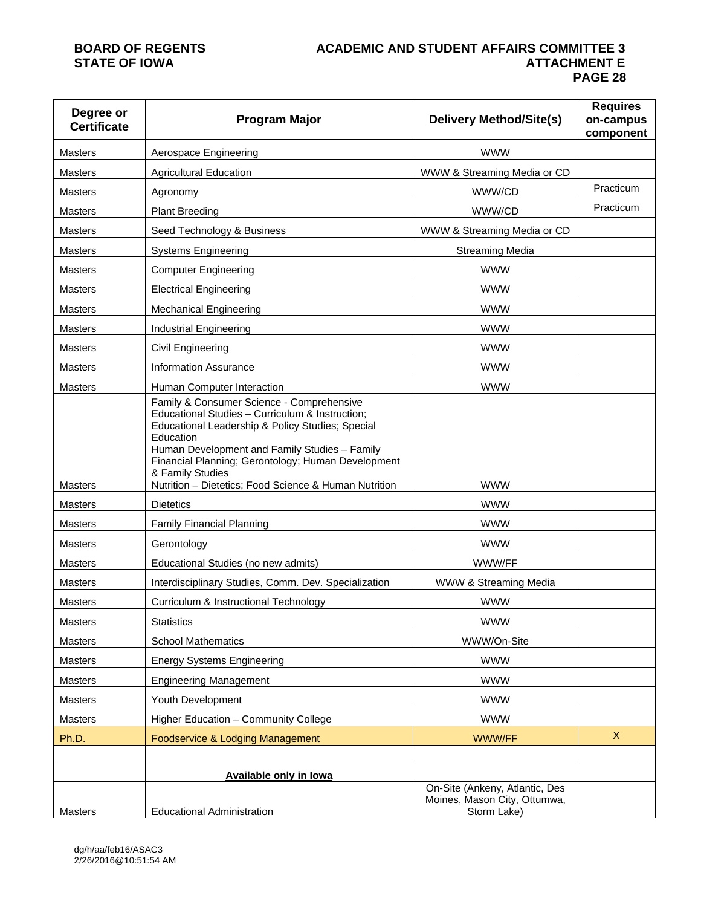#### **BOARD OF REGENTS ACADEMIC AND STUDENT AFFAIRS COMMITTEE 3 ATTACHMENT E PAGE 28**

| Degree or<br><b>Certificate</b> | <b>Program Major</b>                                                                                                                                                                                                                                                                                                                              | <b>Delivery Method/Site(s)</b>                                                | <b>Requires</b><br>on-campus<br>component |
|---------------------------------|---------------------------------------------------------------------------------------------------------------------------------------------------------------------------------------------------------------------------------------------------------------------------------------------------------------------------------------------------|-------------------------------------------------------------------------------|-------------------------------------------|
| Masters                         | Aerospace Engineering                                                                                                                                                                                                                                                                                                                             | <b>WWW</b>                                                                    |                                           |
| <b>Masters</b>                  | <b>Agricultural Education</b>                                                                                                                                                                                                                                                                                                                     | WWW & Streaming Media or CD                                                   |                                           |
| <b>Masters</b>                  | Agronomy                                                                                                                                                                                                                                                                                                                                          | WWW/CD                                                                        | Practicum                                 |
| <b>Masters</b>                  | <b>Plant Breeding</b>                                                                                                                                                                                                                                                                                                                             | WWW/CD                                                                        | Practicum                                 |
| <b>Masters</b>                  | Seed Technology & Business                                                                                                                                                                                                                                                                                                                        | WWW & Streaming Media or CD                                                   |                                           |
| Masters                         | <b>Systems Engineering</b>                                                                                                                                                                                                                                                                                                                        | <b>Streaming Media</b>                                                        |                                           |
| <b>Masters</b>                  | <b>Computer Engineering</b>                                                                                                                                                                                                                                                                                                                       | <b>WWW</b>                                                                    |                                           |
| <b>Masters</b>                  | <b>Electrical Engineering</b>                                                                                                                                                                                                                                                                                                                     | <b>WWW</b>                                                                    |                                           |
| Masters                         | <b>Mechanical Engineering</b>                                                                                                                                                                                                                                                                                                                     | <b>WWW</b>                                                                    |                                           |
| <b>Masters</b>                  | Industrial Engineering                                                                                                                                                                                                                                                                                                                            | <b>WWW</b>                                                                    |                                           |
| <b>Masters</b>                  | Civil Engineering                                                                                                                                                                                                                                                                                                                                 | <b>WWW</b>                                                                    |                                           |
| <b>Masters</b>                  | <b>Information Assurance</b>                                                                                                                                                                                                                                                                                                                      | <b>WWW</b>                                                                    |                                           |
| <b>Masters</b>                  | Human Computer Interaction                                                                                                                                                                                                                                                                                                                        | <b>WWW</b>                                                                    |                                           |
| Masters                         | Family & Consumer Science - Comprehensive<br>Educational Studies - Curriculum & Instruction;<br>Educational Leadership & Policy Studies; Special<br>Education<br>Human Development and Family Studies - Family<br>Financial Planning; Gerontology; Human Development<br>& Family Studies<br>Nutrition - Dietetics; Food Science & Human Nutrition | <b>WWW</b>                                                                    |                                           |
| <b>Masters</b>                  | <b>Dietetics</b>                                                                                                                                                                                                                                                                                                                                  | <b>WWW</b>                                                                    |                                           |
| Masters                         | <b>Family Financial Planning</b>                                                                                                                                                                                                                                                                                                                  | <b>WWW</b>                                                                    |                                           |
| <b>Masters</b>                  | Gerontology                                                                                                                                                                                                                                                                                                                                       | <b>WWW</b>                                                                    |                                           |
| <b>Masters</b>                  | Educational Studies (no new admits)                                                                                                                                                                                                                                                                                                               | WWW/FF                                                                        |                                           |
| <b>Masters</b>                  | Interdisciplinary Studies, Comm. Dev. Specialization                                                                                                                                                                                                                                                                                              | WWW & Streaming Media                                                         |                                           |
| <b>Masters</b>                  | Curriculum & Instructional Technology                                                                                                                                                                                                                                                                                                             | <b>WWW</b>                                                                    |                                           |
| <b>Masters</b>                  | <b>Statistics</b>                                                                                                                                                                                                                                                                                                                                 | <b>WWW</b>                                                                    |                                           |
| <b>Masters</b>                  | <b>School Mathematics</b>                                                                                                                                                                                                                                                                                                                         | WWW/On-Site                                                                   |                                           |
| <b>Masters</b>                  | <b>Energy Systems Engineering</b>                                                                                                                                                                                                                                                                                                                 | <b>WWW</b>                                                                    |                                           |
| Masters                         | <b>Engineering Management</b>                                                                                                                                                                                                                                                                                                                     | <b>WWW</b>                                                                    |                                           |
| <b>Masters</b>                  | Youth Development                                                                                                                                                                                                                                                                                                                                 | <b>WWW</b>                                                                    |                                           |
| Masters                         | Higher Education - Community College                                                                                                                                                                                                                                                                                                              | <b>WWW</b>                                                                    |                                           |
| Ph.D.                           | Foodservice & Lodging Management                                                                                                                                                                                                                                                                                                                  | WWW/FF                                                                        | $\mathsf{X}$                              |
|                                 |                                                                                                                                                                                                                                                                                                                                                   |                                                                               |                                           |
|                                 | <b>Available only in lowa</b>                                                                                                                                                                                                                                                                                                                     |                                                                               |                                           |
| Masters                         | <b>Educational Administration</b>                                                                                                                                                                                                                                                                                                                 | On-Site (Ankeny, Atlantic, Des<br>Moines, Mason City, Ottumwa,<br>Storm Lake) |                                           |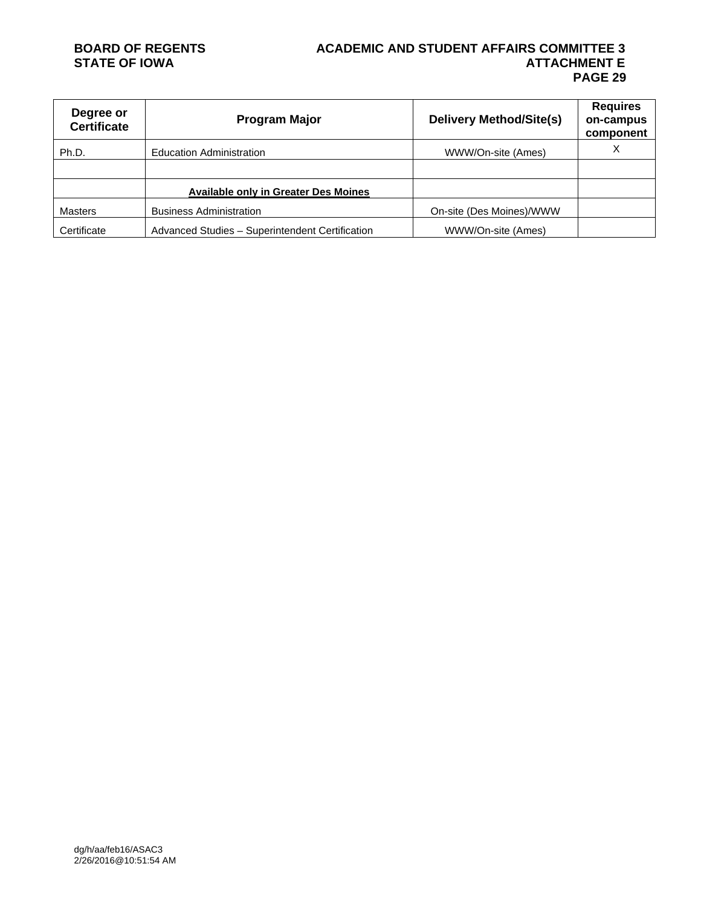#### **BOARD OF REGENTS ACADEMIC AND STUDENT AFFAIRS COMMITTEE 3 ATTACHMENT E PAGE 29**

| Degree or<br><b>Certificate</b> | <b>Program Major</b>                            | <b>Delivery Method/Site(s)</b> | <b>Requires</b><br>on-campus<br>component |
|---------------------------------|-------------------------------------------------|--------------------------------|-------------------------------------------|
| Ph.D.                           | <b>Education Administration</b>                 | WWW/On-site (Ames)             | Χ                                         |
|                                 |                                                 |                                |                                           |
|                                 | <b>Available only in Greater Des Moines</b>     |                                |                                           |
| <b>Masters</b>                  | <b>Business Administration</b>                  | On-site (Des Moines)/WWW       |                                           |
| Certificate                     | Advanced Studies - Superintendent Certification | WWW/On-site (Ames)             |                                           |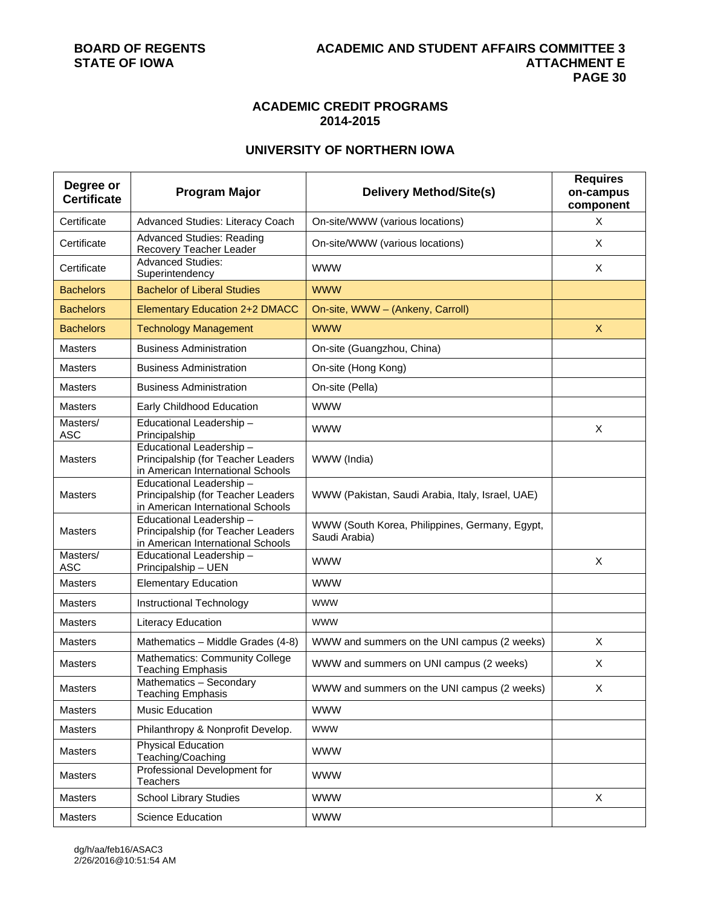#### **ACADEMIC CREDIT PROGRAMS 2014-2015**

### **UNIVERSITY OF NORTHERN IOWA**

| Degree or<br><b>Certificate</b> | <b>Program Major</b>                                                                               | <b>Delivery Method/Site(s)</b>                                  | <b>Requires</b><br>on-campus<br>component |
|---------------------------------|----------------------------------------------------------------------------------------------------|-----------------------------------------------------------------|-------------------------------------------|
| Certificate                     | Advanced Studies: Literacy Coach                                                                   | On-site/WWW (various locations)                                 | X                                         |
| Certificate                     | <b>Advanced Studies: Reading</b><br>Recovery Teacher Leader                                        | On-site/WWW (various locations)                                 | X                                         |
| Certificate                     | <b>Advanced Studies:</b><br>Superintendency                                                        | <b>WWW</b>                                                      | X                                         |
| <b>Bachelors</b>                | <b>Bachelor of Liberal Studies</b>                                                                 | <b>WWW</b>                                                      |                                           |
| <b>Bachelors</b>                | <b>Elementary Education 2+2 DMACC</b>                                                              | On-site, WWW - (Ankeny, Carroll)                                |                                           |
| <b>Bachelors</b>                | <b>Technology Management</b>                                                                       | <b>WWW</b>                                                      | $\mathsf{X}$                              |
| Masters                         | <b>Business Administration</b>                                                                     | On-site (Guangzhou, China)                                      |                                           |
| <b>Masters</b>                  | <b>Business Administration</b>                                                                     | On-site (Hong Kong)                                             |                                           |
| <b>Masters</b>                  | <b>Business Administration</b>                                                                     | On-site (Pella)                                                 |                                           |
| <b>Masters</b>                  | Early Childhood Education                                                                          | <b>WWW</b>                                                      |                                           |
| Masters/<br><b>ASC</b>          | Educational Leadership-<br>Principalship                                                           | <b>WWW</b>                                                      | X                                         |
| <b>Masters</b>                  | Educational Leadership-<br>Principalship (for Teacher Leaders<br>in American International Schools | WWW (India)                                                     |                                           |
| <b>Masters</b>                  | Educational Leadership-<br>Principalship (for Teacher Leaders<br>in American International Schools | WWW (Pakistan, Saudi Arabia, Italy, Israel, UAE)                |                                           |
| <b>Masters</b>                  | Educational Leadership-<br>Principalship (for Teacher Leaders<br>in American International Schools | WWW (South Korea, Philippines, Germany, Egypt,<br>Saudi Arabia) |                                           |
| Masters/<br><b>ASC</b>          | Educational Leadership-<br>Principalship - UEN                                                     | <b>WWW</b>                                                      | $\pmb{\times}$                            |
| <b>Masters</b>                  | <b>Elementary Education</b>                                                                        | <b>WWW</b>                                                      |                                           |
| <b>Masters</b>                  | Instructional Technology                                                                           | <b>WWW</b>                                                      |                                           |
| Masters                         | <b>Literacy Education</b>                                                                          | <b>WWW</b>                                                      |                                           |
| <b>Masters</b>                  | Mathematics - Middle Grades (4-8)                                                                  | WWW and summers on the UNI campus (2 weeks)                     | X                                         |
| <b>Masters</b>                  | <b>Mathematics: Community College</b><br>Teaching Emphasis                                         | WWW and summers on UNI campus (2 weeks)                         | X                                         |
| Masters                         | Mathematics - Secondary<br><b>Teaching Emphasis</b>                                                | WWW and summers on the UNI campus (2 weeks)                     | X                                         |
| <b>Masters</b>                  | Music Education                                                                                    | <b>WWW</b>                                                      |                                           |
| Masters                         | Philanthropy & Nonprofit Develop.                                                                  | <b>WWW</b>                                                      |                                           |
| Masters                         | <b>Physical Education</b><br>Teaching/Coaching                                                     | <b>WWW</b>                                                      |                                           |
| Masters                         | Professional Development for<br>Teachers                                                           | <b>WWW</b>                                                      |                                           |
| <b>Masters</b>                  | <b>School Library Studies</b>                                                                      | <b>WWW</b>                                                      | X                                         |
| Masters                         | <b>Science Education</b>                                                                           | <b>WWW</b>                                                      |                                           |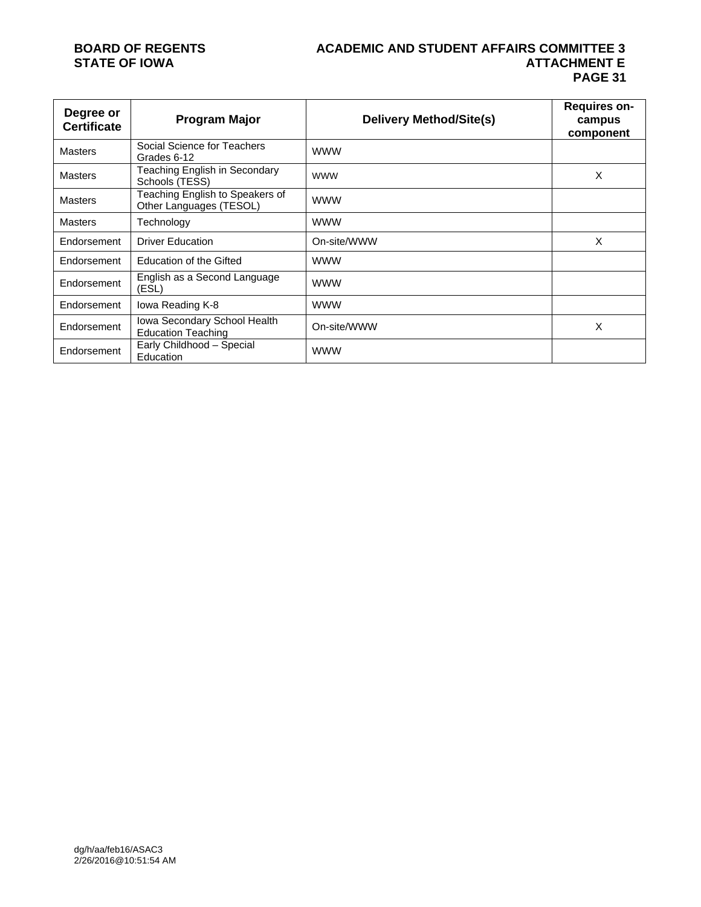# **STATE OF IOWA**

# **BOARD OF REGENTS ACADEMIC AND STUDENT AFFAIRS COMMITTEE 3 PAGE 31**

| Degree or<br><b>Certificate</b> | <b>Program Major</b>                                       | <b>Delivery Method/Site(s)</b> | Requires on-<br>campus<br>component |
|---------------------------------|------------------------------------------------------------|--------------------------------|-------------------------------------|
| <b>Masters</b>                  | Social Science for Teachers<br>Grades 6-12                 | <b>WWW</b>                     |                                     |
| <b>Masters</b>                  | Teaching English in Secondary<br>Schools (TESS)            | <b>WWW</b>                     | X                                   |
| <b>Masters</b>                  | Teaching English to Speakers of<br>Other Languages (TESOL) | <b>WWW</b>                     |                                     |
| <b>Masters</b>                  | Technology                                                 | <b>WWW</b>                     |                                     |
| Endorsement                     | <b>Driver Education</b>                                    | On-site/WWW                    | X                                   |
| Endorsement                     | Education of the Gifted                                    | <b>WWW</b>                     |                                     |
| Endorsement                     | English as a Second Language<br>(ESL)                      | <b>WWW</b>                     |                                     |
| Endorsement                     | lowa Reading K-8                                           | <b>WWW</b>                     |                                     |
| Endorsement                     | Iowa Secondary School Health<br><b>Education Teaching</b>  | On-site/WWW                    | X                                   |
| Endorsement                     | Early Childhood - Special<br>Education                     | <b>WWW</b>                     |                                     |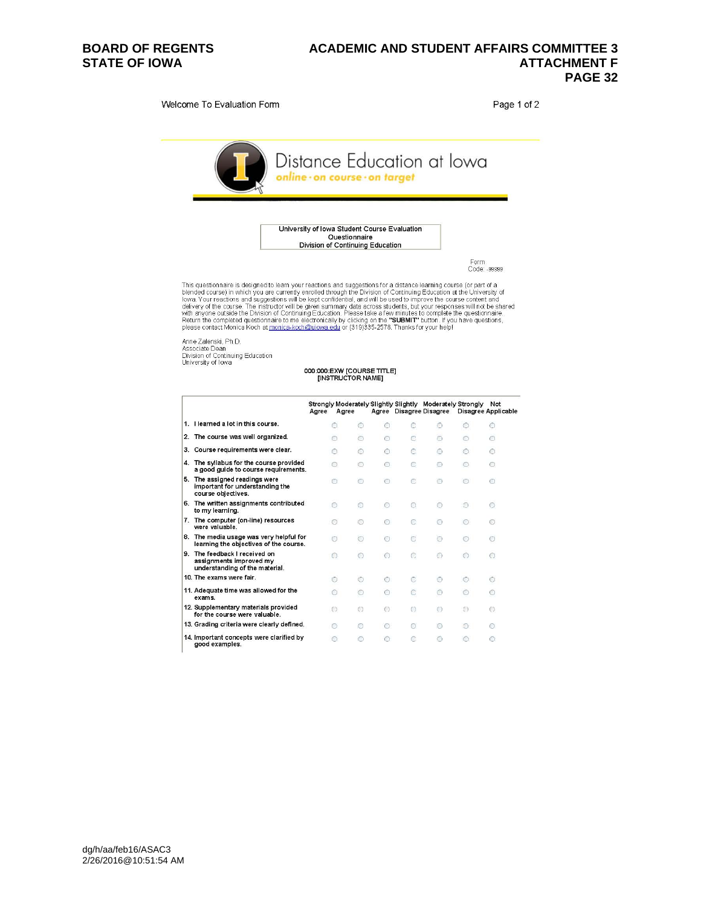#### **BOARD OF REGENTS ACADEMIC AND STUDENT AFFAIRS COMMITTEE 3**  STATE OF IOWA **ATTACHMENT F ATTACHMENT F PAGE 32**

Welcome To Evaluation Form

Page 1 of 2



University of Iowa Student Course Evaluation Sity of Towa Student Course Eval<br>Questionnaire<br>Division of Continuing Education

Form<br>Code: -99999

This questionnaire is designed to learn your reactions and suggestions for a distance learning course (or part of a<br>blended course) in which you are currently enrolled through the Division of Continuing Education at the Un

Anne Zalenski, Ph.D.<br>Associate Dean<br>Division of Continuing Education<br>University of Iowa

## 000:000:EXW [COURSE TITLE]<br>[INSTRUCTOR NAME]

|      |                                                                                           | Agree | Agree   |            |            |    | Strongly Moderately Slightly Slightly Moderately Strongly<br>Agree Disagree Disagree |   | Not<br>Disagree Applicable |
|------|-------------------------------------------------------------------------------------------|-------|---------|------------|------------|----|--------------------------------------------------------------------------------------|---|----------------------------|
|      | I. I learned a lot in this course.                                                        |       | ∩       | $\bigcirc$ | $\bigcirc$ | Œ  | Ω                                                                                    | ∩ | Ο                          |
|      | 2. The course was well organized.                                                         |       | ∩       | ∩          | Ō          | c  | ∩                                                                                    |   | ⊙                          |
|      | 3. Course requirements were clear.                                                        |       |         | ∩          | $\bigcap$  | C. | ⊙                                                                                    | ∩ | ⊙                          |
|      | 1. The syllabus for the course provided<br>a good guide to course requirements.           |       | ∩       | ⊙          | 0          | C  | 0                                                                                    |   | ⊙                          |
| 5.   | The assigned readings were<br>important for understanding the<br>course objectives.       |       |         | ∩          | $\bigcap$  | Õ. | ∩                                                                                    |   | $\bigcirc$                 |
| 5. . | The written assignments contributed<br>to my learning.                                    |       | ⊙       | $\circ$    | $\bigcirc$ | ⊙  | ⊙                                                                                    | Ó | ⊙                          |
|      | 7. The computer (on-line) resources<br>were valuable.                                     |       | ⊙       | ∩          | ∩          | C. | 0                                                                                    |   | ⊙                          |
|      | 8. The media usage was very helpful for<br>learning the objectives of the course.         |       | 0       | ⊙          | ∩          | C  | $\bigcirc$                                                                           | ∩ | ⊙                          |
|      | . The feedback I received on<br>assignments improved my<br>understanding of the material. |       | ⊙       | $\odot$    | $\bigcirc$ | C  | ⊙                                                                                    |   | ⊙                          |
|      | 10. The exams were fair.                                                                  |       | Ō       | O)         | $\bigcap$  |    | Ō                                                                                    | € | Ō                          |
|      | 11. Adequate time was allowed for the<br>exams.                                           |       | ⋒       | ⊙          | O          | c  | ∩                                                                                    | ∩ | Ō                          |
|      | 12. Supplementary materials provided<br>for the course were valuable.                     |       | $\circ$ | $^{(2)}$   | $\bigcirc$ | 0  | $\odot$                                                                              | O | Ø                          |
|      | 13. Grading criteria were clearly defined.                                                |       | ⊙       | ⊙          | €          | ◎  | 0                                                                                    | O | ⊙                          |
|      | 14. Important concepts were clarified by<br>good examples.                                |       | ∩       |            | ∩          |    | ∩                                                                                    |   | ∩                          |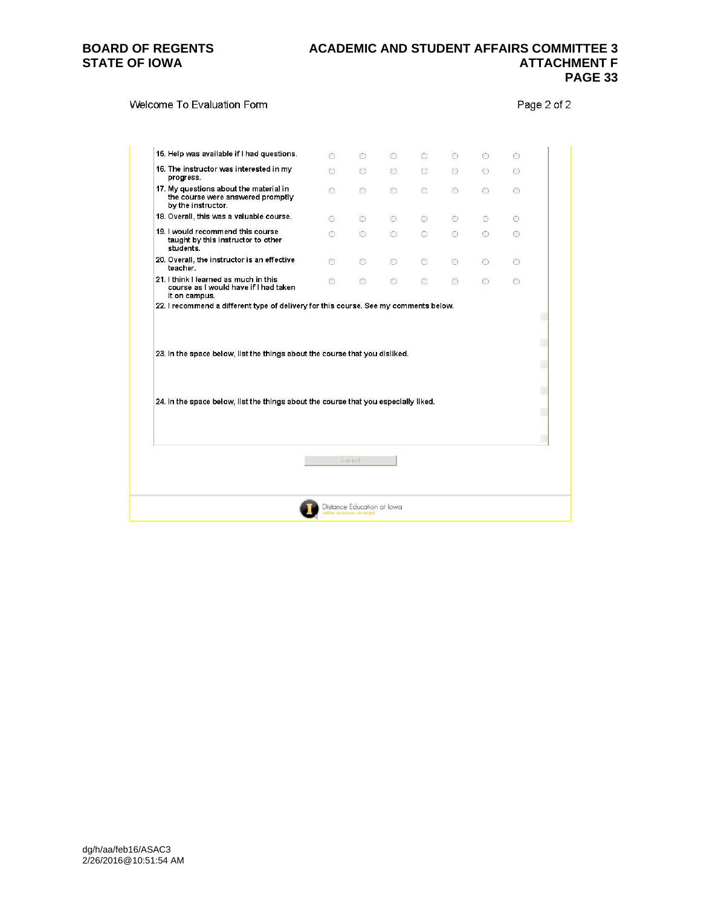#### **BOARD OF REGENTS ACADEMIC AND STUDENT AFFAIRS COMMITTEE 3**  STATE OF IOWA **ATTACHMENT F ATTACHMENT F PAGE 33**

#### Welcome To Evaluation Form

Page 2 of 2

|                                                                                                                                                                    | $\bigcap$  | O              | $\circ$ | C            | $\bigcirc$ | $\bigcirc$ | O       |  |
|--------------------------------------------------------------------------------------------------------------------------------------------------------------------|------------|----------------|---------|--------------|------------|------------|---------|--|
| 16. The instructor was interested in my<br>progress.                                                                                                               | $\bigcirc$ | $\circ$        | $\circ$ | $\mathbb{C}$ | $\circ$    | $\bigcirc$ | $\circ$ |  |
| 17. My questions about the material in<br>the course were answered promptly<br>by the instructor.                                                                  | ∩          | ∩              | O.      | o            | $\bigcirc$ | O          | ⊙       |  |
| 18. Overall, this was a valuable course.                                                                                                                           | $\bigcirc$ | $\odot$        | 0       | ⊙            | 0          | О          | ⊙       |  |
| 19. I would recommend this course<br>taught by this instructor to other<br>students.                                                                               | ⊙          | $\circledcirc$ | $\circ$ | C            | $\odot$    | $\circ$    | ⊙       |  |
| 20. Overall, the instructor is an effective<br>teacher.                                                                                                            | ⊙          | $\circ$        | $\circ$ | Ō            | 0          | $\bigcirc$ | ⊙       |  |
| 21. I think I learned as much in this<br>course as I would have if I had taken<br>it on campus.                                                                    | ∩          | $\circ$        | 0       | O            | 0          | $\circ$    | ⊙       |  |
|                                                                                                                                                                    |            |                |         |              |            |            |         |  |
|                                                                                                                                                                    |            |                |         |              |            |            |         |  |
|                                                                                                                                                                    |            |                |         |              |            |            |         |  |
| 23. In the space below, list the things about the course that you disliked.<br>24. In the space below, list the things about the course that you especially liked. |            | Submit         |         |              |            |            |         |  |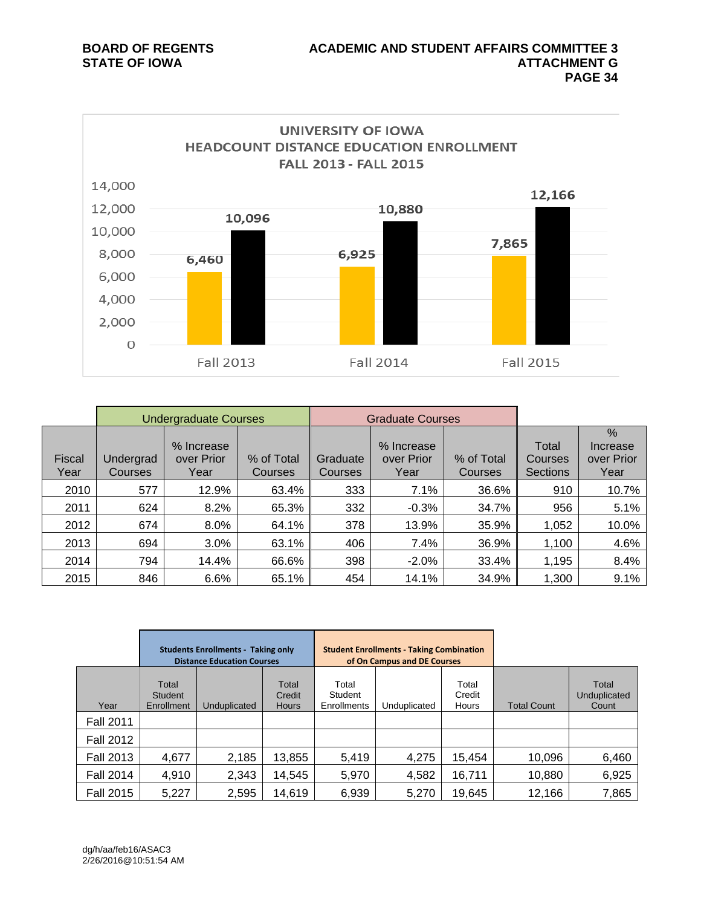

|                |                             | <b>Undergraduate Courses</b>     |                       |                     | <b>Graduate Courses</b>          |                       |                                     |                                        |
|----------------|-----------------------------|----------------------------------|-----------------------|---------------------|----------------------------------|-----------------------|-------------------------------------|----------------------------------------|
| Fiscal<br>Year | Undergrad<br><b>Courses</b> | % Increase<br>over Prior<br>Year | % of Total<br>Courses | Graduate<br>Courses | % Increase<br>over Prior<br>Year | % of Total<br>Courses | Total<br>Courses<br><b>Sections</b> | $\%$<br>Increase<br>over Prior<br>Year |
| 2010           | 577                         | 12.9%                            | 63.4%                 | 333                 | 7.1%                             | 36.6%                 | 910                                 | 10.7%                                  |
| 2011           | 624                         | 8.2%                             | 65.3%                 | 332                 | $-0.3%$                          | 34.7%                 | 956                                 | 5.1%                                   |
| 2012           | 674                         | 8.0%                             | 64.1%                 | 378                 | 13.9%                            | 35.9%                 | 1,052                               | 10.0%                                  |
| 2013           | 694                         | 3.0%                             | 63.1%                 | 406                 | 7.4%                             | 36.9%                 | 1,100                               | 4.6%                                   |
| 2014           | 794                         | 14.4%                            | 66.6%                 | 398                 | $-2.0%$                          | 33.4%                 | 1,195                               | 8.4%                                   |
| 2015           | 846                         | 6.6%                             | 65.1%                 | 454                 | 14.1%                            | 34.9%                 | 1,300                               | 9.1%                                   |

|                  | <b>Students Enrollments - Taking only</b><br><b>Distance Education Courses</b> |              |                                 | <b>Student Enrollments - Taking Combination</b><br>of On Campus and DE Courses |              |                          |                    |                                |
|------------------|--------------------------------------------------------------------------------|--------------|---------------------------------|--------------------------------------------------------------------------------|--------------|--------------------------|--------------------|--------------------------------|
| Year             | Total<br>Student<br>Enrollment                                                 | Unduplicated | Total<br>Credit<br><b>Hours</b> | Total<br>Student<br><b>Enrollments</b>                                         | Unduplicated | Total<br>Credit<br>Hours | <b>Total Count</b> | Total<br>Unduplicated<br>Count |
| <b>Fall 2011</b> |                                                                                |              |                                 |                                                                                |              |                          |                    |                                |
| <b>Fall 2012</b> |                                                                                |              |                                 |                                                                                |              |                          |                    |                                |
| <b>Fall 2013</b> | 4,677                                                                          | 2,185        | 13,855                          | 5,419                                                                          | 4,275        | 15,454                   | 10,096             | 6,460                          |
| <b>Fall 2014</b> | 4,910                                                                          | 2,343        | 14,545                          | 5,970                                                                          | 4,582        | 16,711                   | 10,880             | 6,925                          |
| <b>Fall 2015</b> | 5,227                                                                          | 2,595        | 14,619                          | 6,939                                                                          | 5,270        | 19,645                   | 12,166             | 7,865                          |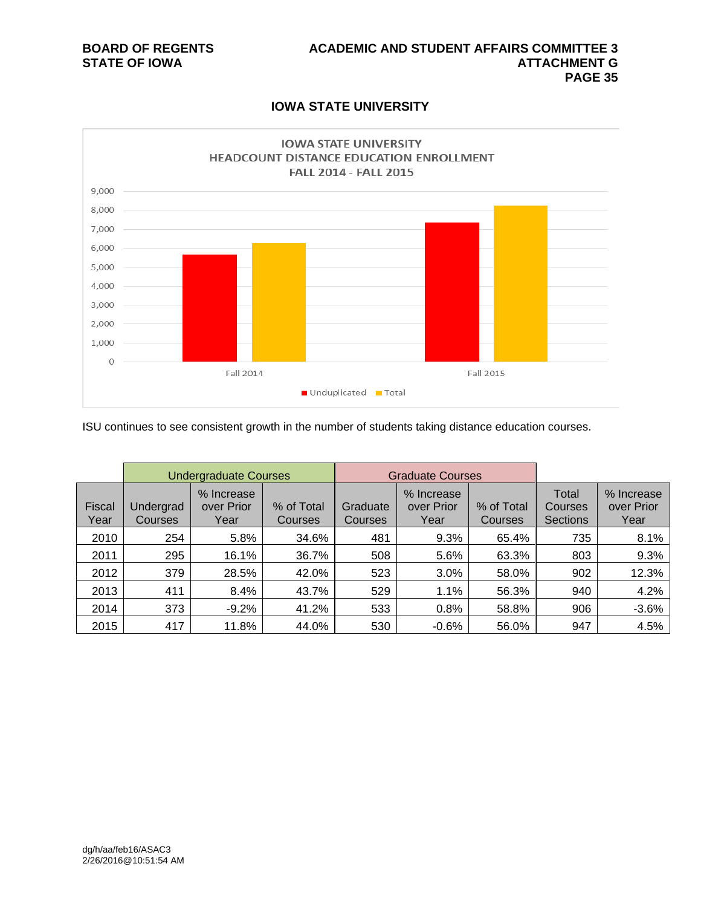### **IOWA STATE UNIVERSITY**



ISU continues to see consistent growth in the number of students taking distance education courses.

|                |                      | <b>Undergraduate Courses</b>     |                       |                     | <b>Graduate Courses</b>          |                              |                                            |                                  |
|----------------|----------------------|----------------------------------|-----------------------|---------------------|----------------------------------|------------------------------|--------------------------------------------|----------------------------------|
| Fiscal<br>Year | Undergrad<br>Courses | % Increase<br>over Prior<br>Year | % of Total<br>Courses | Graduate<br>Courses | % Increase<br>over Prior<br>Year | % of Total<br><b>Courses</b> | Total<br><b>Courses</b><br><b>Sections</b> | % Increase<br>over Prior<br>Year |
| 2010           | 254                  | 5.8%                             | 34.6%                 | 481                 | 9.3%                             | 65.4%                        | 735                                        | 8.1%                             |
| 2011           | 295                  | 16.1%                            | 36.7%                 | 508                 | 5.6%                             | 63.3%                        | 803                                        | 9.3%                             |
| 2012           | 379                  | 28.5%                            | 42.0%                 | 523                 | 3.0%                             | 58.0%                        | 902                                        | 12.3%                            |
| 2013           | 411                  | 8.4%                             | 43.7%                 | 529                 | 1.1%                             | 56.3%                        | 940                                        | 4.2%                             |
| 2014           | 373                  | $-9.2%$                          | 41.2%                 | 533                 | 0.8%                             | 58.8%                        | 906                                        | $-3.6%$                          |
| 2015           | 417                  | 11.8%                            | 44.0%                 | 530                 | $-0.6%$                          | 56.0%                        | 947                                        | 4.5%                             |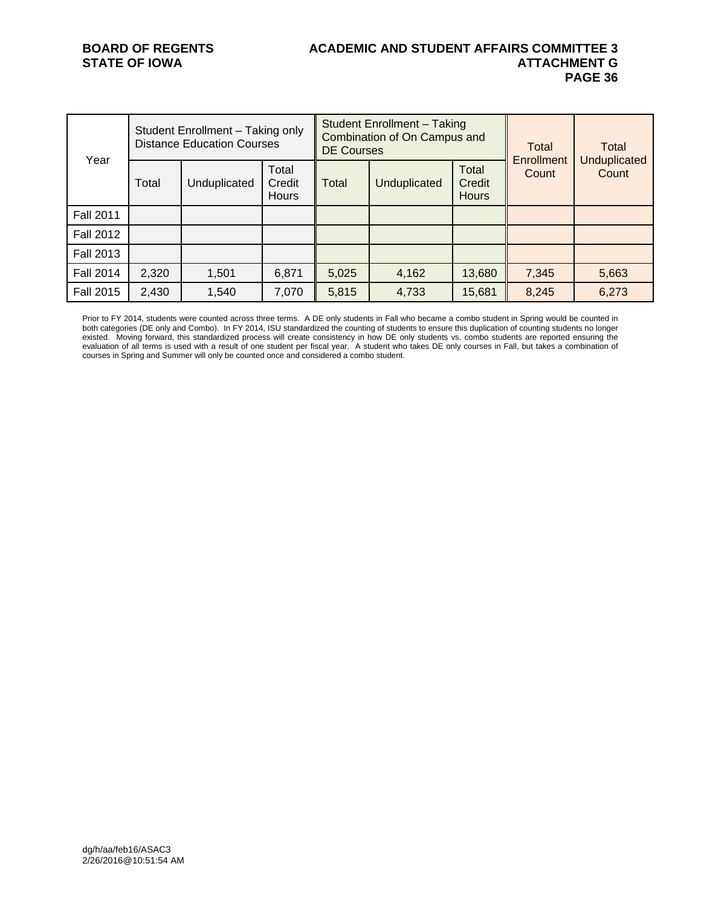#### **BOARD OF REGENTS ACADEMIC AND STUDENT AFFAIRS COMMITTEE 3**  STATE OF IOWA **ATTACHMENT G**<br>PAGE 36  **PAGE 36**

| Year             | Student Enrollment - Taking only<br><b>Distance Education Courses</b> |              |                                 | <b>DE Courses</b> | <b>Student Enrollment - Taking</b><br>Combination of On Campus and | Total<br>Enrollment             | Total |                              |
|------------------|-----------------------------------------------------------------------|--------------|---------------------------------|-------------------|--------------------------------------------------------------------|---------------------------------|-------|------------------------------|
|                  | Total                                                                 | Unduplicated | Total<br>Credit<br><b>Hours</b> | Total             | Unduplicated                                                       | Total<br>Credit<br><b>Hours</b> | Count | <b>Unduplicated</b><br>Count |
| <b>Fall 2011</b> |                                                                       |              |                                 |                   |                                                                    |                                 |       |                              |
| <b>Fall 2012</b> |                                                                       |              |                                 |                   |                                                                    |                                 |       |                              |
| <b>Fall 2013</b> |                                                                       |              |                                 |                   |                                                                    |                                 |       |                              |
| <b>Fall 2014</b> | 2,320                                                                 | 1,501        | 6,871                           | 5,025             | 4,162                                                              | 13,680                          | 7,345 | 5,663                        |
| <b>Fall 2015</b> | 2,430                                                                 | 1,540        | 7,070                           | 5,815             | 4,733                                                              | 15,681                          | 8,245 | 6,273                        |

Prior to FY 2014, students were counted across three terms. A DE only students in Fall who became a combo student in Spring would be counted in both categories (DE only and Combo). In FY 2014, ISU standardized the counting of students to ensure this duplication of counting students no longer existed. Moving forward, this standardized process will create consistency in how DE only students vs. combo students are reported ensuring the evaluation of all terms is used with a result of one student per fiscal year. A student who takes DE only courses in Fall, but takes a combination of courses in Spring and Summer will only be counted once and considered a combo student.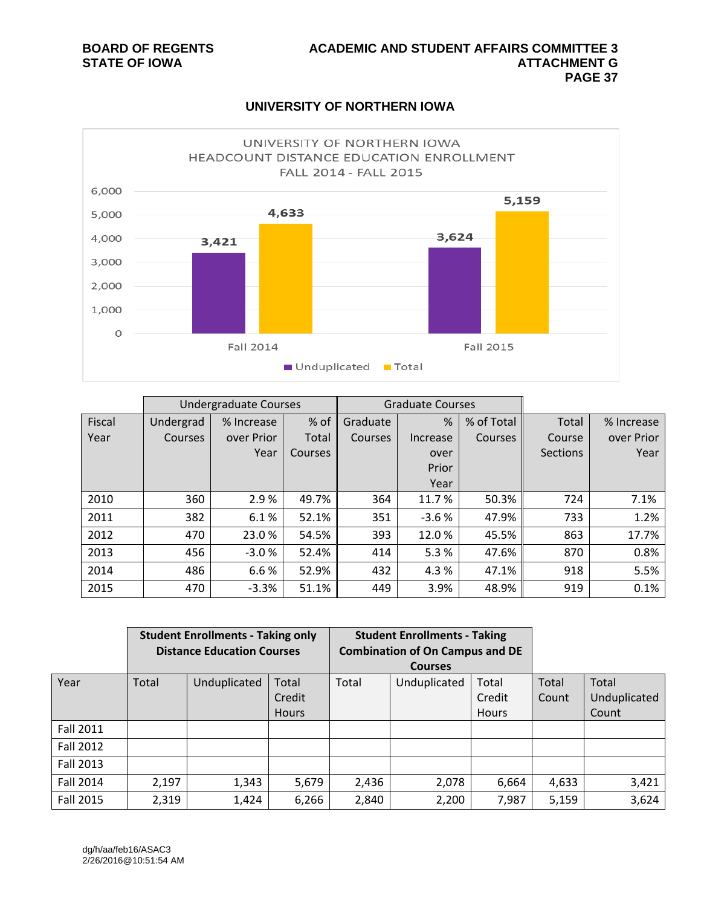

#### **UNIVERSITY OF NORTHERN IOWA**

|        | <b>Undergraduate Courses</b> |            |                | <b>Graduate Courses</b> |          |                |                 |            |
|--------|------------------------------|------------|----------------|-------------------------|----------|----------------|-----------------|------------|
| Fiscal | Undergrad                    | % Increase | % of           | Graduate                | %        | % of Total     | Total           | % Increase |
| Year   | <b>Courses</b>               | over Prior | Total          | Courses                 | Increase | <b>Courses</b> | Course          | over Prior |
|        |                              | Year       | <b>Courses</b> |                         | over     |                | <b>Sections</b> | Year       |
|        |                              |            |                |                         | Prior    |                |                 |            |
|        |                              |            |                |                         | Year     |                |                 |            |
| 2010   | 360                          | 2.9%       | 49.7%          | 364                     | 11.7%    | 50.3%          | 724             | 7.1%       |
| 2011   | 382                          | 6.1%       | 52.1%          | 351                     | $-3.6%$  | 47.9%          | 733             | 1.2%       |
| 2012   | 470                          | 23.0 %     | 54.5%          | 393                     | 12.0%    | 45.5%          | 863             | 17.7%      |
| 2013   | 456                          | $-3.0%$    | 52.4%          | 414                     | 5.3%     | 47.6%          | 870             | 0.8%       |
| 2014   | 486                          | 6.6%       | 52.9%          | 432                     | 4.3 %    | 47.1%          | 918             | 5.5%       |
| 2015   | 470                          | $-3.3%$    | 51.1%          | 449                     | 3.9%     | 48.9%          | 919             | 0.1%       |

|                  | <b>Student Enrollments - Taking only</b> |              |              | <b>Student Enrollments - Taking</b>    |              |              |       |              |
|------------------|------------------------------------------|--------------|--------------|----------------------------------------|--------------|--------------|-------|--------------|
|                  | <b>Distance Education Courses</b>        |              |              | <b>Combination of On Campus and DE</b> |              |              |       |              |
|                  |                                          |              |              | <b>Courses</b>                         |              |              |       |              |
| Year             | Total                                    | Unduplicated | Total        | Total                                  | Unduplicated | Total        | Total | Total        |
|                  |                                          |              | Credit       |                                        |              | Credit       | Count | Unduplicated |
|                  |                                          |              | <b>Hours</b> |                                        |              | <b>Hours</b> |       | Count        |
| <b>Fall 2011</b> |                                          |              |              |                                        |              |              |       |              |
| <b>Fall 2012</b> |                                          |              |              |                                        |              |              |       |              |
| <b>Fall 2013</b> |                                          |              |              |                                        |              |              |       |              |
| Fall 2014        | 2,197                                    | 1,343        | 5,679        | 2,436                                  | 2,078        | 6,664        | 4,633 | 3,421        |
| <b>Fall 2015</b> | 2,319                                    | 1,424        | 6,266        | 2,840                                  | 2,200        | 7,987        | 5,159 | 3,624        |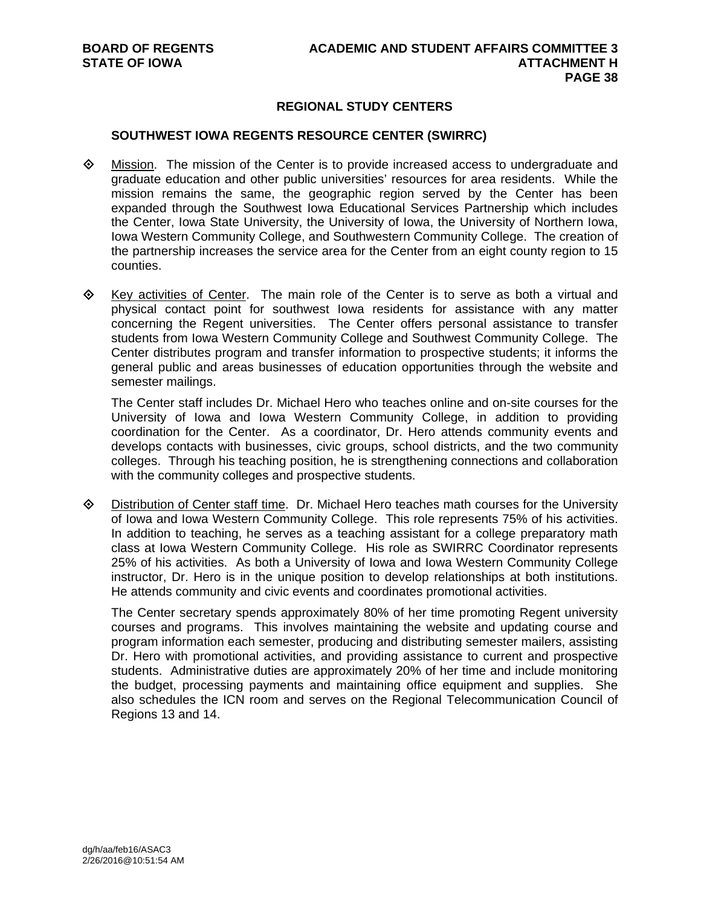#### **REGIONAL STUDY CENTERS**

#### **SOUTHWEST IOWA REGENTS RESOURCE CENTER (SWIRRC)**

- Mission. The mission of the Center is to provide increased access to undergraduate and graduate education and other public universities' resources for area residents. While the mission remains the same, the geographic region served by the Center has been expanded through the Southwest Iowa Educational Services Partnership which includes the Center, Iowa State University, the University of Iowa, the University of Northern Iowa, Iowa Western Community College, and Southwestern Community College. The creation of the partnership increases the service area for the Center from an eight county region to 15 counties.
- $\Diamond$  Key activities of Center. The main role of the Center is to serve as both a virtual and physical contact point for southwest Iowa residents for assistance with any matter concerning the Regent universities. The Center offers personal assistance to transfer students from Iowa Western Community College and Southwest Community College. The Center distributes program and transfer information to prospective students; it informs the general public and areas businesses of education opportunities through the website and semester mailings.

The Center staff includes Dr. Michael Hero who teaches online and on-site courses for the University of Iowa and Iowa Western Community College, in addition to providing coordination for the Center. As a coordinator, Dr. Hero attends community events and develops contacts with businesses, civic groups, school districts, and the two community colleges. Through his teaching position, he is strengthening connections and collaboration with the community colleges and prospective students.

 Distribution of Center staff time. Dr. Michael Hero teaches math courses for the University of Iowa and Iowa Western Community College. This role represents 75% of his activities. In addition to teaching, he serves as a teaching assistant for a college preparatory math class at Iowa Western Community College. His role as SWIRRC Coordinator represents 25% of his activities. As both a University of Iowa and Iowa Western Community College instructor, Dr. Hero is in the unique position to develop relationships at both institutions. He attends community and civic events and coordinates promotional activities.

The Center secretary spends approximately 80% of her time promoting Regent university courses and programs. This involves maintaining the website and updating course and program information each semester, producing and distributing semester mailers, assisting Dr. Hero with promotional activities, and providing assistance to current and prospective students. Administrative duties are approximately 20% of her time and include monitoring the budget, processing payments and maintaining office equipment and supplies. She also schedules the ICN room and serves on the Regional Telecommunication Council of Regions 13 and 14.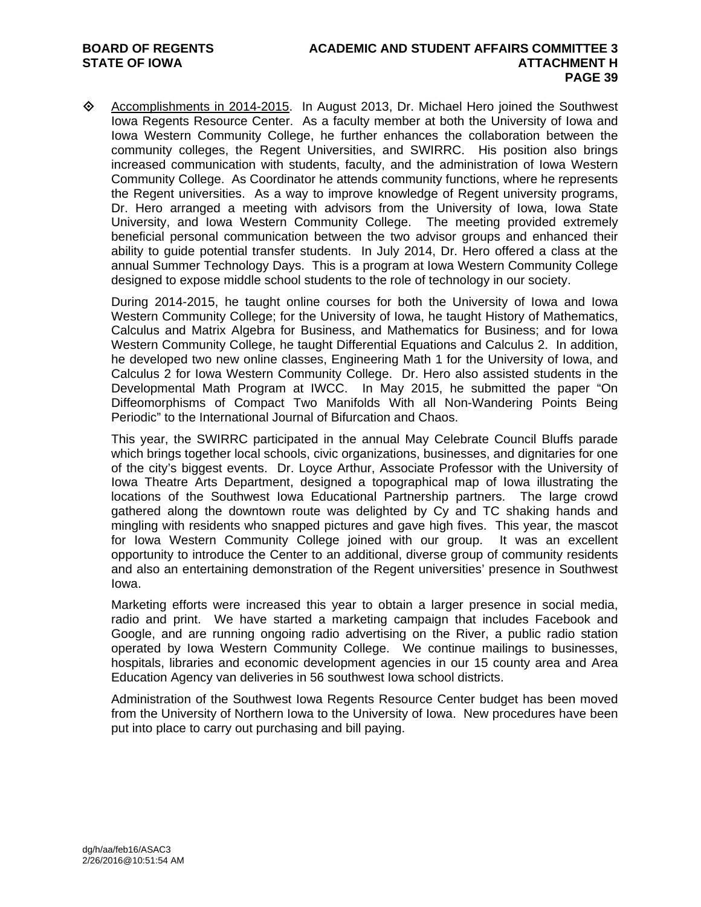♦ Accomplishments in 2014-2015. In August 2013, Dr. Michael Hero joined the Southwest Iowa Regents Resource Center. As a faculty member at both the University of Iowa and Iowa Western Community College, he further enhances the collaboration between the community colleges, the Regent Universities, and SWIRRC. His position also brings increased communication with students, faculty, and the administration of Iowa Western Community College. As Coordinator he attends community functions, where he represents the Regent universities. As a way to improve knowledge of Regent university programs, Dr. Hero arranged a meeting with advisors from the University of Iowa, Iowa State University, and Iowa Western Community College. The meeting provided extremely beneficial personal communication between the two advisor groups and enhanced their ability to guide potential transfer students. In July 2014, Dr. Hero offered a class at the annual Summer Technology Days. This is a program at Iowa Western Community College designed to expose middle school students to the role of technology in our society.

During 2014-2015, he taught online courses for both the University of Iowa and Iowa Western Community College; for the University of Iowa, he taught History of Mathematics, Calculus and Matrix Algebra for Business, and Mathematics for Business; and for Iowa Western Community College, he taught Differential Equations and Calculus 2. In addition, he developed two new online classes, Engineering Math 1 for the University of Iowa, and Calculus 2 for Iowa Western Community College. Dr. Hero also assisted students in the Developmental Math Program at IWCC. In May 2015, he submitted the paper "On Diffeomorphisms of Compact Two Manifolds With all Non-Wandering Points Being Periodic" to the International Journal of Bifurcation and Chaos.

This year, the SWIRRC participated in the annual May Celebrate Council Bluffs parade which brings together local schools, civic organizations, businesses, and dignitaries for one of the city's biggest events. Dr. Loyce Arthur, Associate Professor with the University of Iowa Theatre Arts Department, designed a topographical map of Iowa illustrating the locations of the Southwest Iowa Educational Partnership partners. The large crowd gathered along the downtown route was delighted by Cy and TC shaking hands and mingling with residents who snapped pictures and gave high fives. This year, the mascot for Iowa Western Community College joined with our group. It was an excellent opportunity to introduce the Center to an additional, diverse group of community residents and also an entertaining demonstration of the Regent universities' presence in Southwest Iowa.

Marketing efforts were increased this year to obtain a larger presence in social media, radio and print. We have started a marketing campaign that includes Facebook and Google, and are running ongoing radio advertising on the River, a public radio station operated by Iowa Western Community College. We continue mailings to businesses, hospitals, libraries and economic development agencies in our 15 county area and Area Education Agency van deliveries in 56 southwest Iowa school districts.

Administration of the Southwest Iowa Regents Resource Center budget has been moved from the University of Northern Iowa to the University of Iowa. New procedures have been put into place to carry out purchasing and bill paying.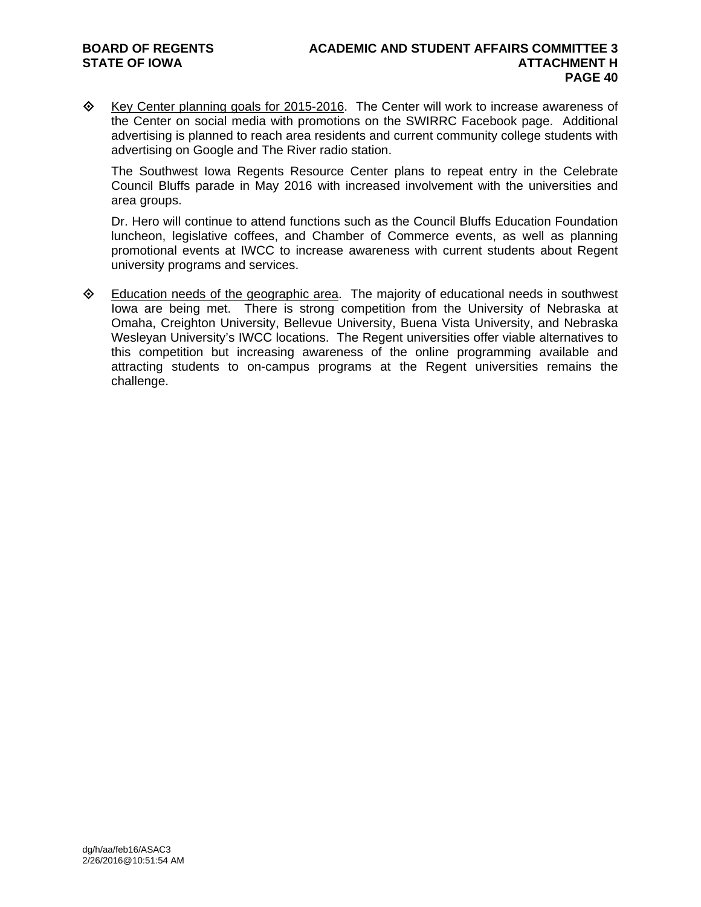♦ Key Center planning goals for 2015-2016. The Center will work to increase awareness of the Center on social media with promotions on the SWIRRC Facebook page. Additional advertising is planned to reach area residents and current community college students with advertising on Google and The River radio station.

The Southwest Iowa Regents Resource Center plans to repeat entry in the Celebrate Council Bluffs parade in May 2016 with increased involvement with the universities and area groups.

Dr. Hero will continue to attend functions such as the Council Bluffs Education Foundation luncheon, legislative coffees, and Chamber of Commerce events, as well as planning promotional events at IWCC to increase awareness with current students about Regent university programs and services.

**Education needs of the geographic area.** The majority of educational needs in southwest Iowa are being met. There is strong competition from the University of Nebraska at Omaha, Creighton University, Bellevue University, Buena Vista University, and Nebraska Wesleyan University's IWCC locations. The Regent universities offer viable alternatives to this competition but increasing awareness of the online programming available and attracting students to on-campus programs at the Regent universities remains the challenge.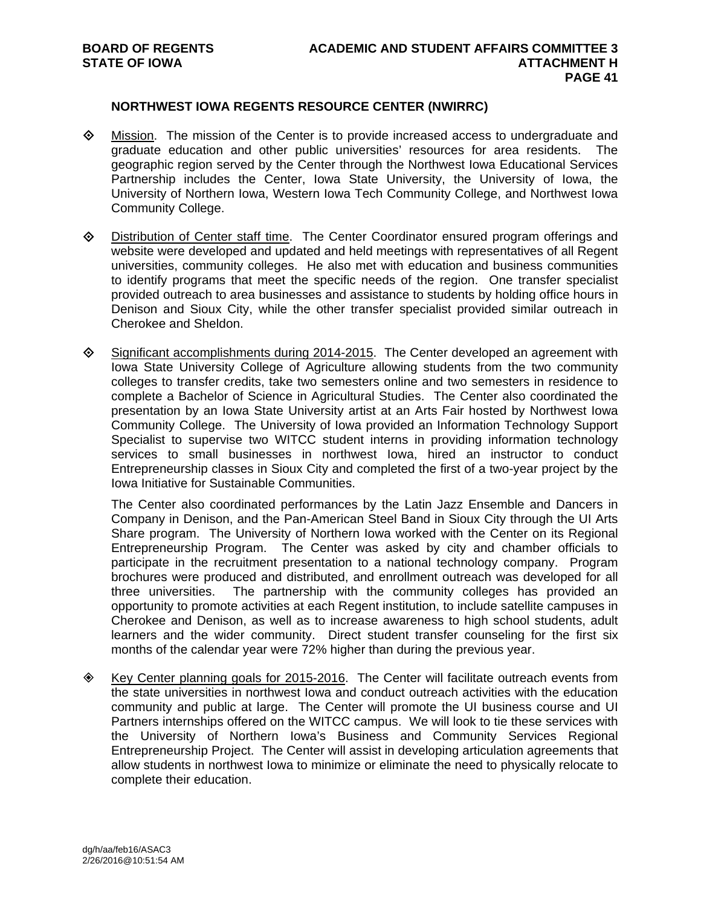#### **NORTHWEST IOWA REGENTS RESOURCE CENTER (NWIRRC)**

- $\Diamond$  Mission. The mission of the Center is to provide increased access to undergraduate and graduate education and other public universities' resources for area residents. The geographic region served by the Center through the Northwest Iowa Educational Services Partnership includes the Center, Iowa State University, the University of Iowa, the University of Northern Iowa, Western Iowa Tech Community College, and Northwest Iowa Community College.
- Distribution of Center staff time. The Center Coordinator ensured program offerings and website were developed and updated and held meetings with representatives of all Regent universities, community colleges. He also met with education and business communities to identify programs that meet the specific needs of the region. One transfer specialist provided outreach to area businesses and assistance to students by holding office hours in Denison and Sioux City, while the other transfer specialist provided similar outreach in Cherokee and Sheldon.
- $\Diamond$  Significant accomplishments during 2014-2015. The Center developed an agreement with Iowa State University College of Agriculture allowing students from the two community colleges to transfer credits, take two semesters online and two semesters in residence to complete a Bachelor of Science in Agricultural Studies. The Center also coordinated the presentation by an Iowa State University artist at an Arts Fair hosted by Northwest Iowa Community College. The University of Iowa provided an Information Technology Support Specialist to supervise two WITCC student interns in providing information technology services to small businesses in northwest Iowa, hired an instructor to conduct Entrepreneurship classes in Sioux City and completed the first of a two-year project by the Iowa Initiative for Sustainable Communities.

The Center also coordinated performances by the Latin Jazz Ensemble and Dancers in Company in Denison, and the Pan-American Steel Band in Sioux City through the UI Arts Share program. The University of Northern Iowa worked with the Center on its Regional Entrepreneurship Program. The Center was asked by city and chamber officials to participate in the recruitment presentation to a national technology company. Program brochures were produced and distributed, and enrollment outreach was developed for all three universities. The partnership with the community colleges has provided an opportunity to promote activities at each Regent institution, to include satellite campuses in Cherokee and Denison, as well as to increase awareness to high school students, adult learners and the wider community. Direct student transfer counseling for the first six months of the calendar year were 72% higher than during the previous year.

 $\diamond$  Key Center planning goals for 2015-2016. The Center will facilitate outreach events from the state universities in northwest Iowa and conduct outreach activities with the education community and public at large. The Center will promote the UI business course and UI Partners internships offered on the WITCC campus. We will look to tie these services with the University of Northern Iowa's Business and Community Services Regional Entrepreneurship Project. The Center will assist in developing articulation agreements that allow students in northwest Iowa to minimize or eliminate the need to physically relocate to complete their education.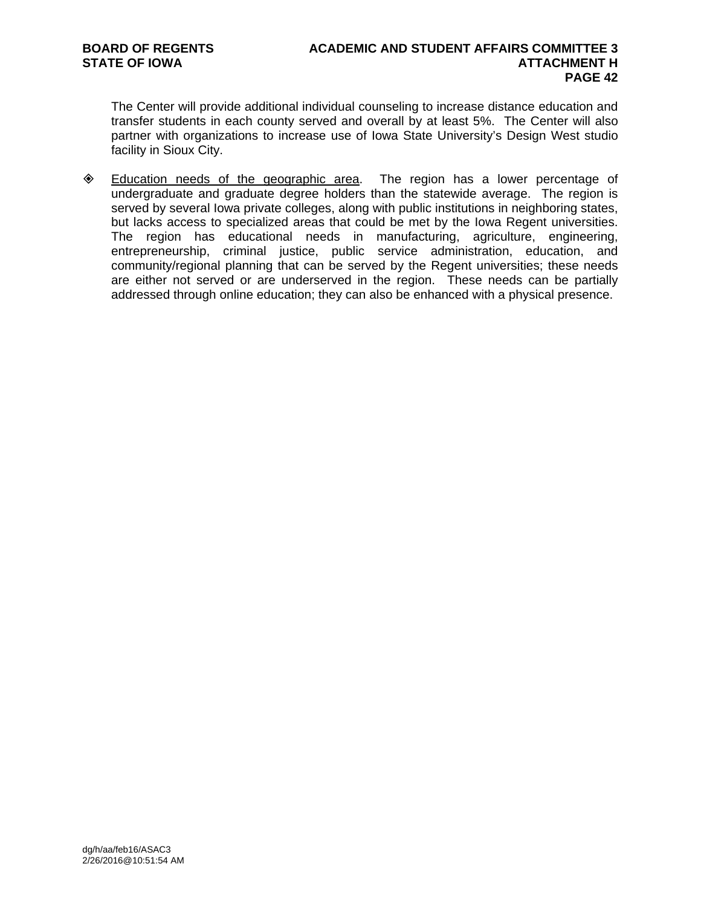The Center will provide additional individual counseling to increase distance education and transfer students in each county served and overall by at least 5%. The Center will also partner with organizations to increase use of Iowa State University's Design West studio facility in Sioux City.

 Education needs of the geographic area. The region has a lower percentage of undergraduate and graduate degree holders than the statewide average. The region is served by several Iowa private colleges, along with public institutions in neighboring states, but lacks access to specialized areas that could be met by the Iowa Regent universities. The region has educational needs in manufacturing, agriculture, engineering, entrepreneurship, criminal justice, public service administration, education, and community/regional planning that can be served by the Regent universities; these needs are either not served or are underserved in the region. These needs can be partially addressed through online education; they can also be enhanced with a physical presence.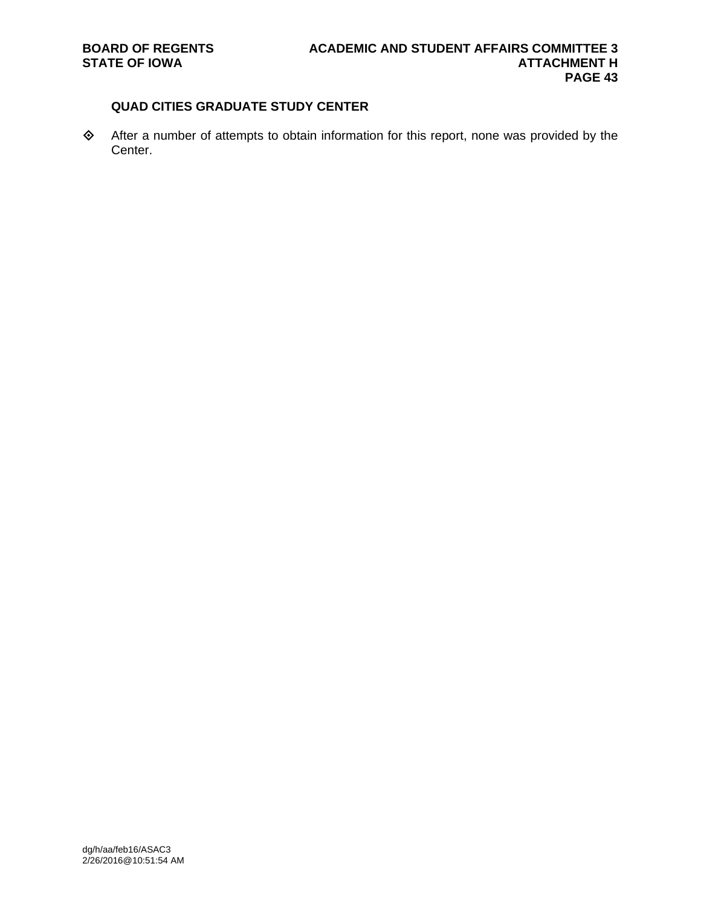### **QUAD CITIES GRADUATE STUDY CENTER**

 After a number of attempts to obtain information for this report, none was provided by the Center.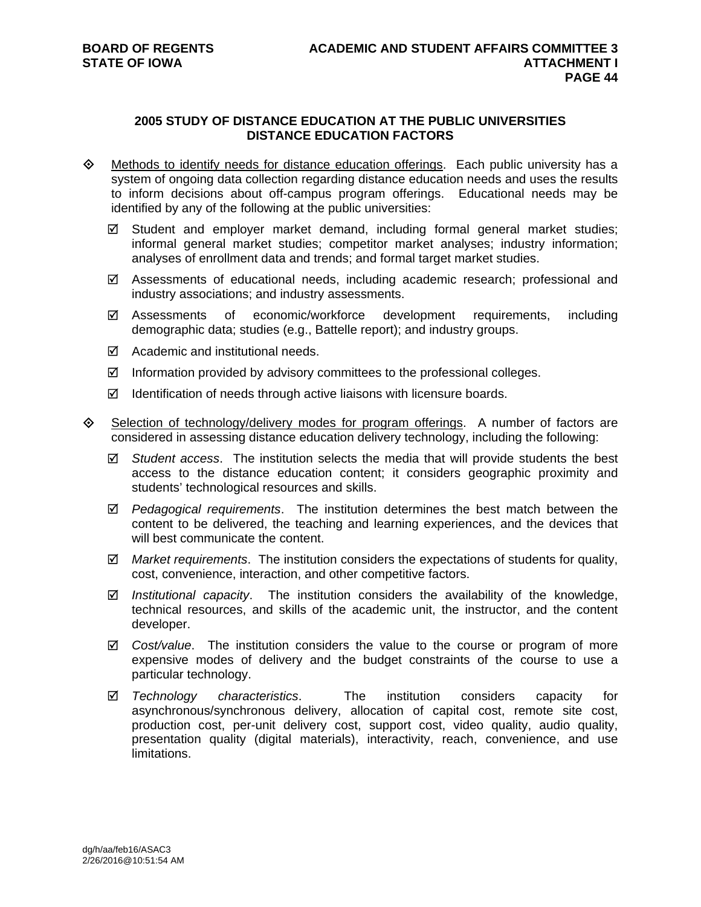#### **2005 STUDY OF DISTANCE EDUCATION AT THE PUBLIC UNIVERSITIES DISTANCE EDUCATION FACTORS**

- $\Diamond$  Methods to identify needs for distance education offerings. Each public university has a system of ongoing data collection regarding distance education needs and uses the results to inform decisions about off-campus program offerings. Educational needs may be identified by any of the following at the public universities:
	- $\boxtimes$  Student and employer market demand, including formal general market studies; informal general market studies; competitor market analyses; industry information; analyses of enrollment data and trends; and formal target market studies.
	- $\boxtimes$  Assessments of educational needs, including academic research; professional and industry associations; and industry assessments.
	- Assessments of economic/workforce development requirements, including demographic data; studies (e.g., Battelle report); and industry groups.
	- Academic and institutional needs.
	- $\boxtimes$  Information provided by advisory committees to the professional colleges.
	- $\boxtimes$  Identification of needs through active liaisons with licensure boards.
- Selection of technology/delivery modes for program offerings. A number of factors are considered in assessing distance education delivery technology, including the following:
	- *Student access*. The institution selects the media that will provide students the best access to the distance education content; it considers geographic proximity and students' technological resources and skills.
	- *Pedagogical requirements*. The institution determines the best match between the content to be delivered, the teaching and learning experiences, and the devices that will best communicate the content.
	- *Market requirements*. The institution considers the expectations of students for quality, cost, convenience, interaction, and other competitive factors.
	- *Institutional capacity*. The institution considers the availability of the knowledge, technical resources, and skills of the academic unit, the instructor, and the content developer.
	- *Cost/value*. The institution considers the value to the course or program of more expensive modes of delivery and the budget constraints of the course to use a particular technology.
	- *Technology characteristics*. The institution considers capacity for asynchronous/synchronous delivery, allocation of capital cost, remote site cost, production cost, per-unit delivery cost, support cost, video quality, audio quality, presentation quality (digital materials), interactivity, reach, convenience, and use limitations.